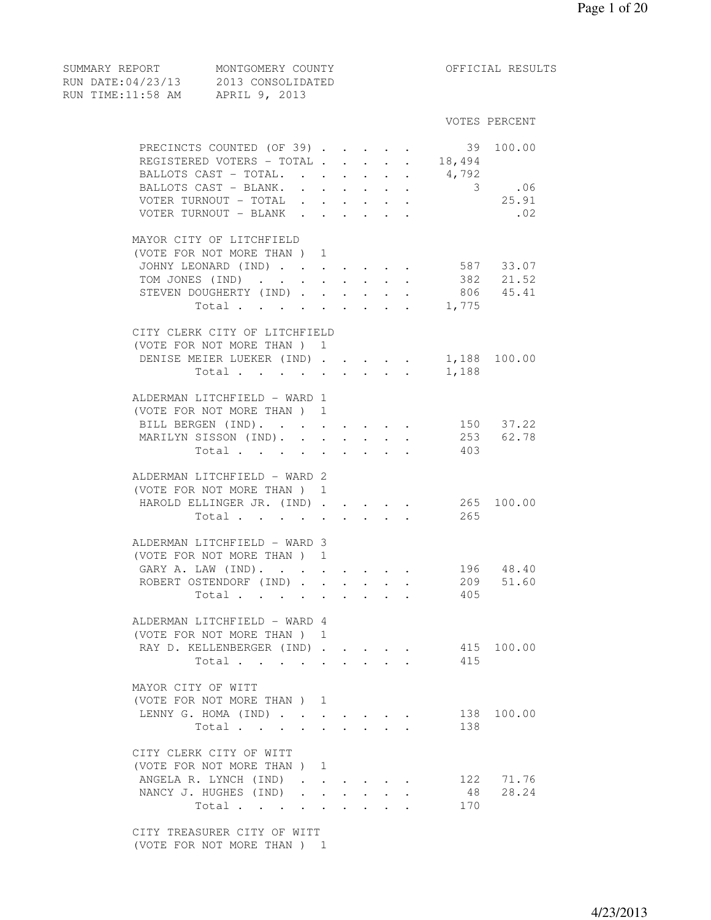| RUN TIME:11:58 AM APRIL 9, 2013        |       |                             |                      |                      |                                                                                             |                                                           |                  |                  |
|----------------------------------------|-------|-----------------------------|----------------------|----------------------|---------------------------------------------------------------------------------------------|-----------------------------------------------------------|------------------|------------------|
|                                        |       |                             |                      |                      |                                                                                             |                                                           |                  | VOTES PERCENT    |
| PRECINCTS COUNTED (OF 39).             |       |                             |                      |                      |                                                                                             |                                                           | 39               | 100.00           |
| REGISTERED VOTERS - TOTAL              |       |                             |                      |                      |                                                                                             |                                                           | $\cdot$ $18,494$ |                  |
| BALLOTS CAST - TOTAL.                  |       |                             |                      |                      | $\ddot{\phantom{0}}$                                                                        |                                                           |                  |                  |
|                                        |       |                             |                      |                      | $\ddot{\phantom{0}}$                                                                        |                                                           | 4,792            |                  |
| BALLOTS CAST - BLANK.                  |       | $\mathcal{L}^{\mathcal{L}}$ |                      |                      | $\mathcal{A}^{\mathcal{A}}$ and $\mathcal{A}^{\mathcal{A}}$ and $\mathcal{A}^{\mathcal{A}}$ |                                                           |                  | $3$ .06<br>25.91 |
| VOTER TURNOUT - TOTAL                  |       | $\ddot{\phantom{0}}$        |                      |                      |                                                                                             |                                                           |                  |                  |
| VOTER TURNOUT - BLANK.                 |       |                             | $\sim$ $\sim$        |                      | $\mathbf{r} = \mathbf{r}$                                                                   |                                                           |                  | .02              |
| MAYOR CITY OF LITCHFIELD               |       |                             |                      |                      |                                                                                             |                                                           |                  |                  |
| (VOTE FOR NOT MORE THAN) 1             |       |                             |                      |                      |                                                                                             |                                                           |                  |                  |
| JOHNY LEONARD (IND) 587 33.07          |       |                             |                      |                      |                                                                                             |                                                           |                  |                  |
| TOM JONES (IND)                        |       |                             |                      | $\ddot{\phantom{0}}$ |                                                                                             |                                                           |                  | 382 21.52        |
| STEVEN DOUGHERTY (IND)                 |       |                             |                      |                      |                                                                                             |                                                           |                  | 806 45.41        |
|                                        |       |                             |                      |                      |                                                                                             |                                                           | Total 1,775      |                  |
|                                        |       |                             |                      |                      |                                                                                             |                                                           |                  |                  |
| CITY CLERK CITY OF LITCHFIELD          |       |                             |                      |                      |                                                                                             |                                                           |                  |                  |
| (VOTE FOR NOT MORE THAN) 1             |       |                             |                      |                      |                                                                                             |                                                           |                  |                  |
| DENISE MEIER LUEKER (IND) 1,188 100.00 |       |                             |                      |                      |                                                                                             |                                                           |                  |                  |
|                                        | Total |                             |                      |                      |                                                                                             |                                                           | 1,188            |                  |
| ALDERMAN LITCHFIELD - WARD 1           |       |                             |                      |                      |                                                                                             |                                                           |                  |                  |
| (VOTE FOR NOT MORE THAN) 1             |       |                             |                      |                      |                                                                                             |                                                           |                  |                  |
|                                        |       |                             |                      |                      |                                                                                             |                                                           |                  |                  |
| BILL BERGEN (IND).                     |       |                             |                      |                      |                                                                                             | $\mathbf{r}$ , $\mathbf{r}$ , $\mathbf{r}$ , $\mathbf{r}$ |                  | 150 37.22        |
| MARILYN SISSON (IND). .                |       |                             | $\ddot{\phantom{a}}$ |                      | $\ddot{\phantom{0}}$                                                                        |                                                           |                  | 253 62.78        |
|                                        | Total | $\bullet$ .                 | $\ddot{\phantom{0}}$ | $\mathbf{L}$         | $\sim$                                                                                      |                                                           | 403              |                  |
| ALDERMAN LITCHFIELD - WARD 2           |       |                             |                      |                      |                                                                                             |                                                           |                  |                  |
| (VOTE FOR NOT MORE THAN) 1             |       |                             |                      |                      |                                                                                             |                                                           |                  |                  |
| HAROLD ELLINGER JR. (IND)              |       |                             |                      |                      |                                                                                             |                                                           | 265 100.00       |                  |
|                                        |       |                             |                      |                      |                                                                                             |                                                           | Total 265        |                  |
|                                        |       |                             |                      |                      |                                                                                             |                                                           |                  |                  |
| ALDERMAN LITCHFIELD - WARD 3           |       |                             |                      |                      |                                                                                             |                                                           |                  |                  |
| (VOTE FOR NOT MORE THAN) 1             |       |                             |                      |                      |                                                                                             |                                                           |                  |                  |
| GARY A. LAW (IND).                     |       |                             |                      |                      |                                                                                             |                                                           |                  | 196 48.40        |
| ROBERT OSTENDORF (IND)                 |       |                             |                      |                      |                                                                                             | $\mathbf{L}^{\text{max}}$ , and $\mathbf{L}^{\text{max}}$ |                  | 209 51.60        |
|                                        | Total |                             |                      |                      |                                                                                             |                                                           | 405              |                  |
|                                        |       |                             |                      |                      |                                                                                             |                                                           |                  |                  |
| ALDERMAN LITCHFIELD - WARD 4           |       |                             |                      |                      |                                                                                             |                                                           |                  |                  |
| (VOTE FOR NOT MORE THAN) 1             |       |                             |                      |                      |                                                                                             |                                                           |                  |                  |
| RAY D. KELLENBERGER (IND)              |       |                             |                      |                      |                                                                                             |                                                           |                  | 415 100.00       |
|                                        | Total |                             |                      |                      |                                                                                             |                                                           | 415              |                  |
| MAYOR CITY OF WITT                     |       |                             |                      |                      |                                                                                             |                                                           |                  |                  |
| (VOTE FOR NOT MORE THAN) 1             |       |                             |                      |                      |                                                                                             |                                                           |                  |                  |
| LENNY G. HOMA (IND)                    |       |                             |                      |                      |                                                                                             |                                                           |                  | 138 100.00       |
|                                        |       |                             |                      |                      |                                                                                             |                                                           | 138              |                  |
|                                        | Total |                             |                      |                      |                                                                                             | $\cdot$ $\cdot$ $\cdot$ $\cdot$                           |                  |                  |
| CITY CLERK CITY OF WITT                |       |                             |                      |                      |                                                                                             |                                                           |                  |                  |
| (VOTE FOR NOT MORE THAN) 1             |       |                             |                      |                      |                                                                                             |                                                           |                  |                  |
| ANGELA R. LYNCH (IND)                  |       | $\sim$                      |                      |                      |                                                                                             |                                                           |                  | 122 71.76        |
| NANCY J. HUGHES (IND)                  |       | $\ddot{\phantom{a}}$        |                      |                      |                                                                                             |                                                           | 48               | 28.24            |
|                                        | Total | $\ddot{\phantom{a}}$        | $\sim$               |                      |                                                                                             |                                                           | 170              |                  |
|                                        |       |                             |                      |                      |                                                                                             |                                                           |                  |                  |
| CITY TREASURER CITY OF WITT            |       |                             |                      |                      |                                                                                             |                                                           |                  |                  |
| (VOTE FOR NOT MORE THAN) 1             |       |                             |                      |                      |                                                                                             |                                                           |                  |                  |

SUMMARY REPORT MONTGOMERY COUNTY THE OFFICIAL RESULTS

RUN DATE:04/23/13 2013 CONSOLIDATED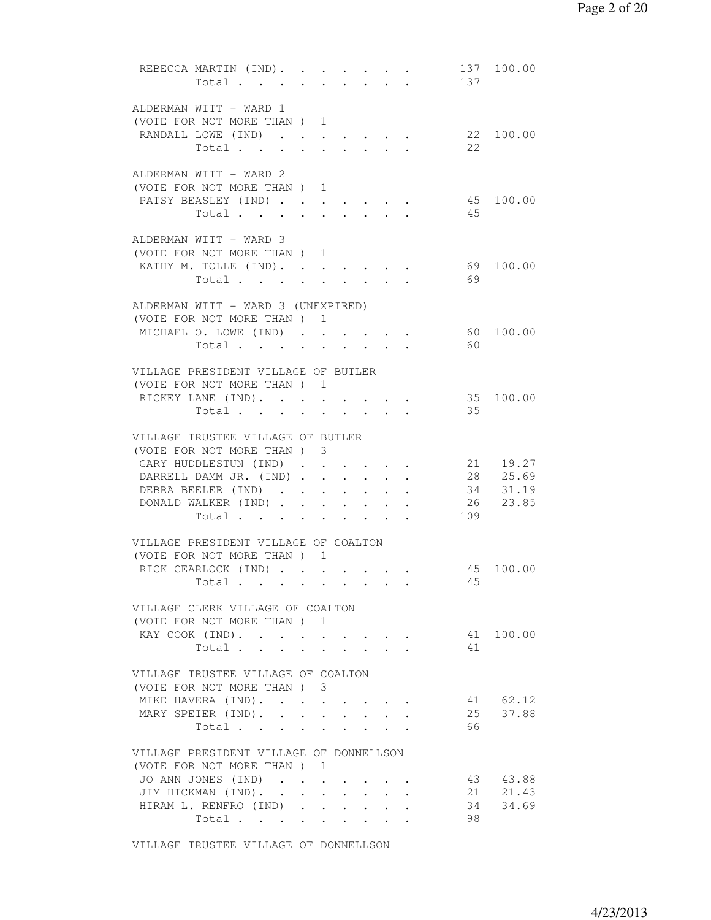|  | REBECCA MARTIN (IND).<br>Total                                   |  |                                                             | $\cdot$ $\cdot$ $\cdot$ $\cdot$          |                      | $\mathbf{z} = \mathbf{z}$ , and $\mathbf{z} = \mathbf{z}$<br>$\sim$ $\sim$ | 137 | 137 100.00 |
|--|------------------------------------------------------------------|--|-------------------------------------------------------------|------------------------------------------|----------------------|----------------------------------------------------------------------------|-----|------------|
|  | ALDERMAN WITT - WARD 1                                           |  |                                                             |                                          |                      |                                                                            |     |            |
|  | (VOTE FOR NOT MORE THAN ) 1                                      |  |                                                             |                                          |                      |                                                                            |     |            |
|  | RANDALL LOWE (IND)                                               |  |                                                             |                                          |                      |                                                                            |     | 22 100.00  |
|  | Total                                                            |  |                                                             |                                          |                      |                                                                            | 22  |            |
|  |                                                                  |  |                                                             |                                          |                      |                                                                            |     |            |
|  | ALDERMAN WITT - WARD 2                                           |  |                                                             |                                          |                      |                                                                            |     |            |
|  | (VOTE FOR NOT MORE THAN ) 1                                      |  |                                                             |                                          |                      |                                                                            |     |            |
|  | PATSY BEASLEY (IND)                                              |  |                                                             |                                          |                      |                                                                            |     | 45 100.00  |
|  | Total                                                            |  |                                                             |                                          |                      |                                                                            | 45  |            |
|  | ALDERMAN WITT - WARD 3                                           |  |                                                             |                                          |                      |                                                                            |     |            |
|  | (VOTE FOR NOT MORE THAN) 1                                       |  |                                                             |                                          |                      |                                                                            |     |            |
|  | KATHY M. TOLLE (IND).                                            |  |                                                             |                                          |                      |                                                                            |     | 69 100.00  |
|  | Total                                                            |  |                                                             |                                          |                      |                                                                            | 69  |            |
|  |                                                                  |  |                                                             |                                          |                      |                                                                            |     |            |
|  | ALDERMAN WITT - WARD 3 (UNEXPIRED)<br>(VOTE FOR NOT MORE THAN) 1 |  |                                                             |                                          |                      |                                                                            |     |            |
|  | MICHAEL O. LOWE (IND)                                            |  |                                                             |                                          |                      |                                                                            |     | 60 100.00  |
|  | Total $\cdot$                                                    |  |                                                             |                                          |                      |                                                                            | 60  |            |
|  |                                                                  |  |                                                             |                                          |                      |                                                                            |     |            |
|  | VILLAGE PRESIDENT VILLAGE OF BUTLER                              |  |                                                             |                                          |                      |                                                                            |     |            |
|  | (VOTE FOR NOT MORE THAN ) 1                                      |  |                                                             |                                          |                      |                                                                            |     |            |
|  | RICKEY LANE (IND).                                               |  |                                                             |                                          |                      |                                                                            |     | 35 100.00  |
|  | Total                                                            |  | $\bullet$ .<br><br><br><br><br><br><br><br><br><br><br><br> | $\mathbf{z} = \mathbf{z} + \mathbf{z}$ . |                      |                                                                            | 35  |            |
|  | VILLAGE TRUSTEE VILLAGE OF BUTLER                                |  |                                                             |                                          |                      |                                                                            |     |            |
|  | (VOTE FOR NOT MORE THAN) 3                                       |  |                                                             |                                          |                      |                                                                            |     |            |
|  | GARY HUDDLESTUN (IND)                                            |  |                                                             |                                          |                      |                                                                            |     | 21 19.27   |
|  | DARRELL DAMM JR. (IND)                                           |  |                                                             |                                          |                      |                                                                            |     | 28 25.69   |
|  | DEBRA BEELER (IND)                                               |  |                                                             |                                          |                      |                                                                            |     | 34 31.19   |
|  | DONALD WALKER (IND)                                              |  |                                                             |                                          |                      |                                                                            |     | 26 23.85   |
|  | Total                                                            |  |                                                             |                                          |                      |                                                                            | 109 |            |
|  |                                                                  |  |                                                             |                                          |                      |                                                                            |     |            |
|  | VILLAGE PRESIDENT VILLAGE OF COALTON                             |  |                                                             |                                          |                      |                                                                            |     |            |
|  | (VOTE FOR NOT MORE THAN) 1                                       |  |                                                             |                                          |                      |                                                                            |     |            |
|  | RICK CEARLOCK (IND)                                              |  |                                                             |                                          |                      |                                                                            | 45  | 45 100.00  |
|  | Total                                                            |  |                                                             |                                          |                      |                                                                            |     |            |
|  | VILLAGE CLERK VILLAGE OF COALTON                                 |  |                                                             |                                          |                      |                                                                            |     |            |
|  | (VOTE FOR NOT MORE THAN) 1                                       |  |                                                             |                                          |                      |                                                                            |     |            |
|  | KAY COOK (IND).                                                  |  |                                                             |                                          |                      |                                                                            |     | 41 100.00  |
|  | Total                                                            |  | $\bullet$ .<br><br><br><br><br><br><br><br><br><br><br><br> | $\sim$                                   |                      |                                                                            | 41  |            |
|  |                                                                  |  |                                                             |                                          |                      |                                                                            |     |            |
|  | VILLAGE TRUSTEE VILLAGE OF COALTON                               |  |                                                             |                                          |                      |                                                                            |     |            |
|  | (VOTE FOR NOT MORE THAN ) 3                                      |  |                                                             |                                          |                      |                                                                            |     | 41 62.12   |
|  | MIKE HAVERA (IND).<br>MARY SPEIER (IND).                         |  |                                                             |                                          |                      |                                                                            |     | 25 37.88   |
|  | Total                                                            |  |                                                             |                                          |                      |                                                                            | 66  |            |
|  |                                                                  |  |                                                             |                                          |                      |                                                                            |     |            |
|  | VILLAGE PRESIDENT VILLAGE OF DONNELLSON                          |  |                                                             |                                          |                      |                                                                            |     |            |
|  | (VOTE FOR NOT MORE THAN ) 1                                      |  |                                                             |                                          |                      |                                                                            |     |            |
|  | JO ANN JONES (IND)                                               |  | $\sim$                                                      |                                          |                      |                                                                            |     | 43 43.88   |
|  | JIM HICKMAN (IND).                                               |  |                                                             |                                          | $\ddot{\phantom{0}}$ |                                                                            |     | 21 21.43   |
|  | HIRAM L. RENFRO (IND)                                            |  |                                                             |                                          |                      |                                                                            | 34  | 34.69      |
|  | Total                                                            |  |                                                             |                                          |                      |                                                                            | 98  |            |
|  |                                                                  |  |                                                             |                                          |                      |                                                                            |     |            |

VILLAGE TRUSTEE VILLAGE OF DONNELLSON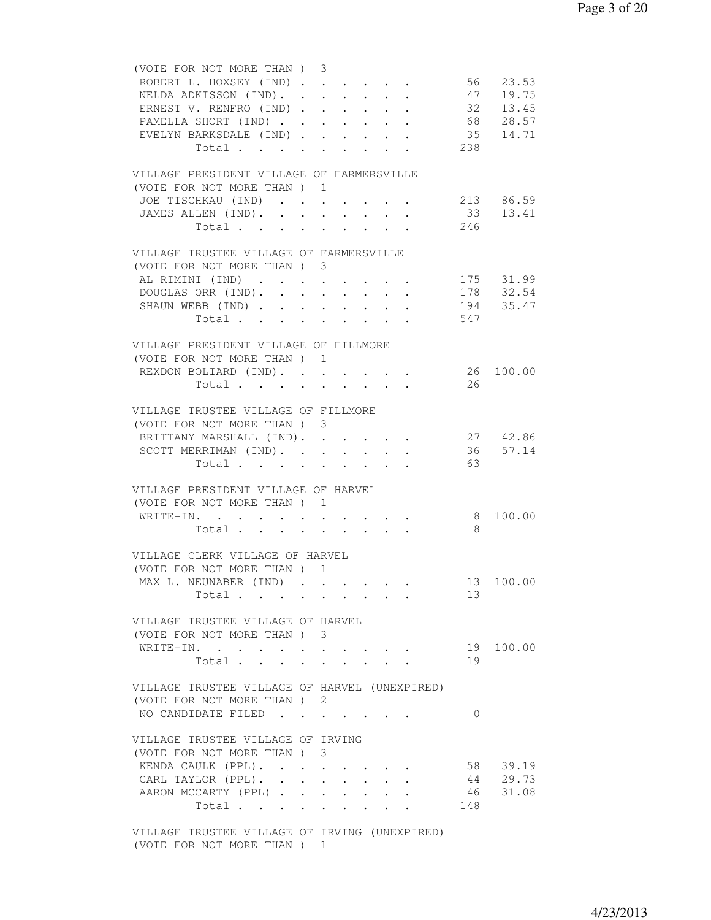| (VOTE FOR NOT MORE THAN) 3                                                   |             |        |                           |                                                                                                                           |                                                    |          |                                           |
|------------------------------------------------------------------------------|-------------|--------|---------------------------|---------------------------------------------------------------------------------------------------------------------------|----------------------------------------------------|----------|-------------------------------------------|
| ROBERT L. HOXSEY (IND) 56 23.53                                              |             |        |                           |                                                                                                                           |                                                    |          |                                           |
| NELDA ADKISSON (IND). 47 19.75                                               |             |        |                           |                                                                                                                           |                                                    |          |                                           |
|                                                                              |             |        |                           |                                                                                                                           |                                                    |          |                                           |
| ERNEST V. RENFRO (IND)                                                       |             |        |                           |                                                                                                                           |                                                    |          | 32 13.45                                  |
| PAMELLA SHORT (IND)                                                          |             |        |                           |                                                                                                                           |                                                    |          | 68 28.57                                  |
| EVELYN BARKSDALE (IND)                                                       |             |        |                           |                                                                                                                           |                                                    |          | 35 14.71                                  |
| Total                                                                        |             |        |                           |                                                                                                                           |                                                    | 238      |                                           |
|                                                                              |             |        |                           |                                                                                                                           |                                                    |          |                                           |
| VILLAGE PRESIDENT VILLAGE OF FARMERSVILLE                                    |             |        |                           |                                                                                                                           |                                                    |          |                                           |
| (VOTE FOR NOT MORE THAN) 1                                                   |             |        |                           |                                                                                                                           |                                                    |          |                                           |
| JOE TISCHKAU (IND) 213 86.59                                                 |             |        |                           |                                                                                                                           |                                                    |          |                                           |
| JAMES ALLEN (IND). 33 13.41                                                  |             |        |                           |                                                                                                                           |                                                    |          |                                           |
| Total 246                                                                    |             |        |                           |                                                                                                                           |                                                    |          |                                           |
|                                                                              |             |        |                           |                                                                                                                           |                                                    |          |                                           |
| VILLAGE TRUSTEE VILLAGE OF FARMERSVILLE                                      |             |        |                           |                                                                                                                           |                                                    |          |                                           |
| (VOTE FOR NOT MORE THAN ) 3                                                  |             |        |                           |                                                                                                                           |                                                    |          |                                           |
| AL RIMINI (IND)                                                              |             |        |                           |                                                                                                                           |                                                    |          | $\cdot \cdot \cdot \cdot \cdot 175$ 31.99 |
| DOUGLAS ORR (IND).                                                           |             |        |                           |                                                                                                                           |                                                    |          | 178 32.54                                 |
|                                                                              |             |        | $\mathbf{L} = \mathbf{L}$ |                                                                                                                           | $\mathbf{r}$ and $\mathbf{r}$                      |          |                                           |
| SHAUN WEBB (IND) 194 35.47                                                   |             |        |                           |                                                                                                                           |                                                    |          |                                           |
| Total 547                                                                    |             |        |                           |                                                                                                                           |                                                    |          |                                           |
|                                                                              |             |        |                           |                                                                                                                           |                                                    |          |                                           |
| VILLAGE PRESIDENT VILLAGE OF FILLMORE                                        |             |        |                           |                                                                                                                           |                                                    |          |                                           |
| (VOTE FOR NOT MORE THAN) 1                                                   |             |        |                           |                                                                                                                           |                                                    |          |                                           |
| REXDON BOLIARD (IND).                                                        |             |        |                           |                                                                                                                           |                                                    |          | 26 100.00                                 |
| Total                                                                        |             |        |                           |                                                                                                                           |                                                    | 26       |                                           |
|                                                                              |             |        |                           |                                                                                                                           |                                                    |          |                                           |
| VILLAGE TRUSTEE VILLAGE OF FILLMORE                                          |             |        |                           |                                                                                                                           |                                                    |          |                                           |
| (VOTE FOR NOT MORE THAN) 3                                                   |             |        |                           |                                                                                                                           |                                                    |          |                                           |
| BRITTANY MARSHALL (IND). 27 42.86                                            |             |        |                           |                                                                                                                           |                                                    |          |                                           |
| SCOTT MERRIMAN (IND). 36 57.14                                               |             |        |                           |                                                                                                                           |                                                    |          |                                           |
| Total $\cdot$                                                                |             |        |                           |                                                                                                                           |                                                    | 63       |                                           |
|                                                                              |             |        |                           |                                                                                                                           |                                                    |          |                                           |
|                                                                              |             |        |                           |                                                                                                                           |                                                    |          |                                           |
| VILLAGE PRESIDENT VILLAGE OF HARVEL                                          |             |        |                           |                                                                                                                           |                                                    |          |                                           |
| (VOTE FOR NOT MORE THAN) 1                                                   |             |        |                           |                                                                                                                           |                                                    |          |                                           |
| WRITE-IN.<br>$\bullet$ .<br><br><br><br><br><br><br><br><br><br><br><br><br> | $\bullet$ . | $\sim$ |                           |                                                                                                                           | $\mathbf{r}$ , and $\mathbf{r}$ , and $\mathbf{r}$ |          | 8 100.00                                  |
| Total                                                                        |             |        |                           |                                                                                                                           |                                                    | 8        |                                           |
|                                                                              |             |        |                           |                                                                                                                           |                                                    |          |                                           |
| VILLAGE CLERK VILLAGE OF HARVEL                                              |             |        |                           |                                                                                                                           |                                                    |          |                                           |
| (VOTE FOR NOT MORE THAN ) 1                                                  |             |        |                           |                                                                                                                           |                                                    |          |                                           |
| MAX L. NEUNABER (IND) .                                                      |             |        |                           |                                                                                                                           |                                                    |          | 13 100.00                                 |
| Total                                                                        |             |        |                           | $\begin{array}{cccccccccccccc} \bullet & \bullet & \bullet & \bullet & \bullet & \bullet & \bullet & \bullet \end{array}$ |                                                    | 13       |                                           |
|                                                                              |             |        |                           |                                                                                                                           |                                                    |          |                                           |
| VILLAGE TRUSTEE VILLAGE OF HARVEL                                            |             |        |                           |                                                                                                                           |                                                    |          |                                           |
| (VOTE FOR NOT MORE THAN) 3                                                   |             |        |                           |                                                                                                                           |                                                    |          |                                           |
| WRITE-IN.                                                                    |             |        |                           |                                                                                                                           |                                                    |          | 19 100.00                                 |
| Total                                                                        |             |        |                           |                                                                                                                           |                                                    | 19       |                                           |
|                                                                              |             |        |                           |                                                                                                                           |                                                    |          |                                           |
|                                                                              |             |        |                           |                                                                                                                           |                                                    |          |                                           |
| VILLAGE TRUSTEE VILLAGE OF HARVEL (UNEXPIRED)                                |             |        |                           |                                                                                                                           |                                                    |          |                                           |
| (VOTE FOR NOT MORE THAN) 2                                                   |             |        |                           |                                                                                                                           |                                                    |          |                                           |
| NO CANDIDATE FILED                                                           |             |        |                           |                                                                                                                           |                                                    | $\Omega$ |                                           |
|                                                                              |             |        |                           |                                                                                                                           |                                                    |          |                                           |
| VILLAGE TRUSTEE VILLAGE OF IRVING                                            |             |        |                           |                                                                                                                           |                                                    |          |                                           |
| (VOTE FOR NOT MORE THAN) 3                                                   |             |        |                           |                                                                                                                           |                                                    |          |                                           |
| KENDA CAULK (PPL).                                                           |             |        |                           |                                                                                                                           |                                                    |          | 58 39.19                                  |
| CARL TAYLOR (PPL).                                                           |             |        |                           |                                                                                                                           |                                                    |          | 44 29.73                                  |
| AARON MCCARTY (PPL)                                                          |             |        |                           |                                                                                                                           |                                                    | 46       | 31.08                                     |
| Total                                                                        |             |        |                           |                                                                                                                           |                                                    | 148      |                                           |
|                                                                              |             |        |                           |                                                                                                                           |                                                    |          |                                           |
| VILLAGE TRUSTEE VILLAGE OF IRVING (UNEXPIRED)                                |             |        |                           |                                                                                                                           |                                                    |          |                                           |
| (VOTE FOR NOT MORE THAN) 1                                                   |             |        |                           |                                                                                                                           |                                                    |          |                                           |
|                                                                              |             |        |                           |                                                                                                                           |                                                    |          |                                           |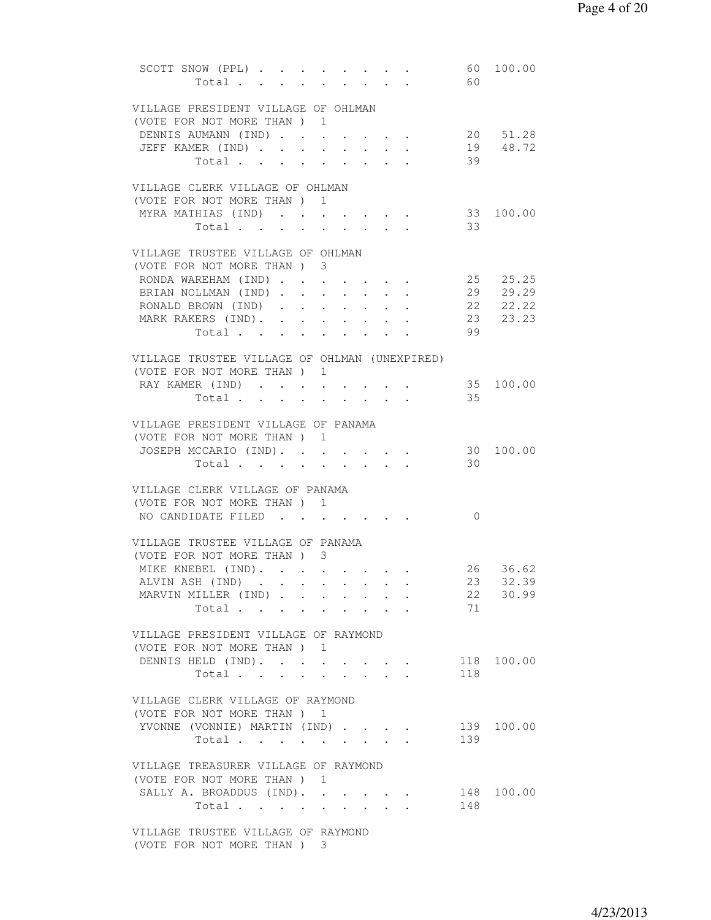| SCOTT SNOW (PPL) 60 100.00                                          |                                                 |                                                 |                      |            |            |
|---------------------------------------------------------------------|-------------------------------------------------|-------------------------------------------------|----------------------|------------|------------|
| Total                                                               |                                                 |                                                 |                      | 60         |            |
| VILLAGE PRESIDENT VILLAGE OF OHLMAN                                 |                                                 |                                                 |                      |            |            |
| (VOTE FOR NOT MORE THAN) 1                                          |                                                 |                                                 |                      |            |            |
| DENNIS AUMANN (IND)                                                 |                                                 |                                                 |                      |            | 20 51.28   |
| JEFF KAMER (IND)<br>$\sim$                                          | $\ddot{\phantom{a}}$<br>$\ddot{\phantom{0}}$    | $\sim$<br>$\sim$                                | $\ddot{\phantom{a}}$ |            | 19 48.72   |
| Total                                                               | $\sim$                                          | $\cdot$ $\cdot$ $\cdot$<br>$\ddot{\phantom{0}}$ |                      | 39         |            |
|                                                                     |                                                 |                                                 |                      |            |            |
| VILLAGE CLERK VILLAGE OF OHLMAN                                     |                                                 |                                                 |                      |            |            |
| (VOTE FOR NOT MORE THAN) 1                                          |                                                 |                                                 |                      |            | 33 100.00  |
| MYRA MATHIAS (IND)                                                  |                                                 |                                                 |                      | 33         |            |
| Total                                                               |                                                 |                                                 |                      |            |            |
| VILLAGE TRUSTEE VILLAGE OF OHLMAN                                   |                                                 |                                                 |                      |            |            |
| (VOTE FOR NOT MORE THAN) 3                                          |                                                 |                                                 |                      |            |            |
| RONDA WAREHAM (IND)                                                 |                                                 |                                                 |                      |            | 25 25.25   |
| BRIAN NOLLMAN (IND)                                                 |                                                 |                                                 |                      |            | 29 29.29   |
| RONALD BROWN (IND)                                                  |                                                 |                                                 |                      |            | 22 22.22   |
| MARK RAKERS (IND).                                                  |                                                 |                                                 |                      |            | 23 23.23   |
| Total                                                               |                                                 |                                                 |                      | 99         |            |
| VILLAGE TRUSTEE VILLAGE OF OHLMAN (UNEXPIRED)                       |                                                 |                                                 |                      |            |            |
| (VOTE FOR NOT MORE THAN) 1                                          |                                                 |                                                 |                      |            |            |
| RAY KAMER (IND)                                                     |                                                 | $\cdot$ $\cdot$ $\cdot$ $\cdot$ $\cdot$         |                      |            | 35 100.00  |
| Total.                                                              |                                                 |                                                 |                      | 35         |            |
|                                                                     |                                                 |                                                 |                      |            |            |
| VILLAGE PRESIDENT VILLAGE OF PANAMA                                 |                                                 |                                                 |                      |            |            |
| (VOTE FOR NOT MORE THAN ) 1                                         |                                                 |                                                 |                      |            |            |
| JOSEPH MCCARIO (IND).                                               |                                                 |                                                 |                      |            | 30 100.00  |
| Total                                                               |                                                 |                                                 |                      | 30         |            |
|                                                                     |                                                 |                                                 |                      |            |            |
| VILLAGE CLERK VILLAGE OF PANAMA                                     |                                                 |                                                 |                      |            |            |
| (VOTE FOR NOT MORE THAN) 1<br>NO CANDIDATE FILED                    |                                                 |                                                 |                      | $\bigcirc$ |            |
|                                                                     |                                                 |                                                 |                      |            |            |
| VILLAGE TRUSTEE VILLAGE OF PANAMA                                   |                                                 |                                                 |                      |            |            |
| (VOTE FOR NOT MORE THAN) 3                                          |                                                 |                                                 |                      |            |            |
| MIKE KNEBEL (IND).                                                  |                                                 |                                                 |                      |            | 26 36.62   |
| ALVIN ASH (IND)                                                     |                                                 |                                                 |                      |            | 23 32.39   |
| MARVIN MILLER (IND)                                                 | $\cdot$ $\cdot$ $\cdot$ $\cdot$ $\cdot$ $\cdot$ |                                                 |                      | 22         | 30.99      |
| Total                                                               | $\sim$ $-$                                      | <b>All Contracts</b>                            |                      | 71         |            |
|                                                                     |                                                 |                                                 |                      |            |            |
| VILLAGE PRESIDENT VILLAGE OF RAYMOND<br>(VOTE FOR NOT MORE THAN) 1  |                                                 |                                                 |                      |            |            |
| DENNIS HELD (IND).                                                  |                                                 |                                                 |                      |            | 118 100.00 |
| Total                                                               |                                                 |                                                 |                      | 118        |            |
|                                                                     |                                                 |                                                 |                      |            |            |
| VILLAGE CLERK VILLAGE OF RAYMOND                                    |                                                 |                                                 |                      |            |            |
| (VOTE FOR NOT MORE THAN ) 1                                         |                                                 |                                                 |                      |            |            |
| YVONNE (VONNIE) MARTIN (IND)                                        |                                                 |                                                 |                      |            | 139 100.00 |
| Total                                                               |                                                 | $\sim$                                          |                      | 139        |            |
|                                                                     |                                                 |                                                 |                      |            |            |
| VILLAGE TREASURER VILLAGE OF RAYMOND<br>(VOTE FOR NOT MORE THAN ) 1 |                                                 |                                                 |                      |            |            |
| SALLY A. BROADDUS (IND).                                            |                                                 |                                                 |                      |            | 148 100.00 |
| Total                                                               |                                                 |                                                 |                      | 148        |            |
|                                                                     |                                                 |                                                 |                      |            |            |
| VILLAGE TRUSTEE VILLAGE OF RAYMOND                                  |                                                 |                                                 |                      |            |            |
| (VOTE FOR NOT MORE THAN ) 3                                         |                                                 |                                                 |                      |            |            |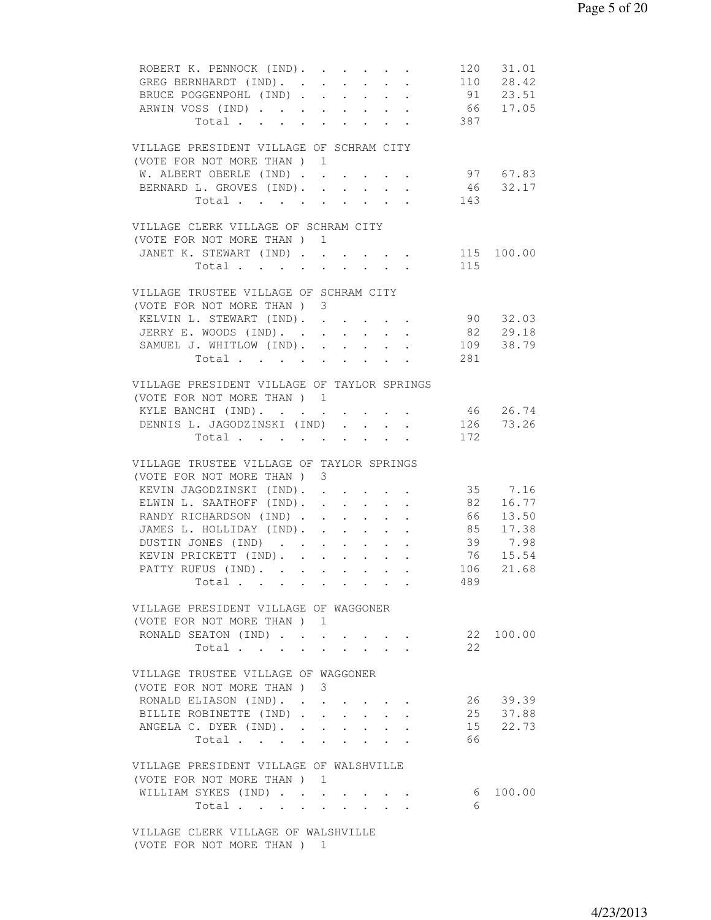| ROBERT K. PENNOCK (IND).<br>GREG BERNHARDT (IND).<br>$\mathbf{L}$ and $\mathbf{L}$<br>$\cdot$ $\cdot$<br>$\cdot$ $\cdot$ 91 23.51<br>BRUCE POGGENPOHL (IND)<br>ARWIN VOSS (IND) 66 17.05<br>Total 387                                                                                                                                                                                                                                                                                                                                                                             |     | 120 31.01<br>110 28.42                                             |
|-----------------------------------------------------------------------------------------------------------------------------------------------------------------------------------------------------------------------------------------------------------------------------------------------------------------------------------------------------------------------------------------------------------------------------------------------------------------------------------------------------------------------------------------------------------------------------------|-----|--------------------------------------------------------------------|
| VILLAGE PRESIDENT VILLAGE OF SCHRAM CITY<br>(VOTE FOR NOT MORE THAN) 1<br>W. ALBERT OBERLE (IND)<br>BERNARD L. GROVES (IND). .<br>$\mathbf{L}$ and $\mathbf{L}$<br>$\ddot{\phantom{0}}$<br>Total<br>$\ddot{\phantom{a}}$<br>VILLAGE CLERK VILLAGE OF SCHRAM CITY                                                                                                                                                                                                                                                                                                                  | 143 | 97 67.83<br>46 32.17                                               |
| (VOTE FOR NOT MORE THAN) 1<br>JANET K. STEWART (IND) 115 100.00<br>Total 115                                                                                                                                                                                                                                                                                                                                                                                                                                                                                                      |     |                                                                    |
| VILLAGE TRUSTEE VILLAGE OF SCHRAM CITY<br>(VOTE FOR NOT MORE THAN) 3<br>KELVIN L. STEWART (IND). 90 32.03<br>JERRY E. WOODS (IND).<br>SAMUEL J. WHITLOW (IND). 109 38.79<br>Total 281                                                                                                                                                                                                                                                                                                                                                                                             |     | 82 29.18                                                           |
| VILLAGE PRESIDENT VILLAGE OF TAYLOR SPRINGS<br>(VOTE FOR NOT MORE THAN) 1<br>KYLE BANCHI (IND).<br>$\bullet$ .<br><br><br><br><br><br><br><br><br><br><br><br><br><br>$\cdot$ $\cdot$<br>DENNIS L. JAGODZINSKI (IND)<br>$\mathbf{L} = \mathbf{L}$<br>Total.                                                                                                                                                                                                                                                                                                                       | 172 | 46 26.74<br>126 73.26                                              |
| VILLAGE TRUSTEE VILLAGE OF TAYLOR SPRINGS<br>(VOTE FOR NOT MORE THAN) 3<br>KEVIN JAGODZINSKI (IND).<br>ELWIN L. SAATHOFF (IND). .<br>$\mathbf{a} = \mathbf{a} + \mathbf{a} + \mathbf{a} + \mathbf{a} + \mathbf{a}$<br>RANDY RICHARDSON (IND).<br>$\ddot{\phantom{0}}$<br>$\mathbf{A}^{\text{max}}$ , and $\mathbf{A}^{\text{max}}$<br>JAMES L. HOLLIDAY (IND). .<br>$\mathbf{L}^{\text{max}}$<br>$\sim$<br>$\ddot{\phantom{0}}$<br>DUSTIN JONES (IND)<br>$\ddot{\phantom{0}}$<br>$\sim$<br>$\ddot{\phantom{a}}$<br>KEVIN PRICKETT (IND).<br>PATTY RUFUS (IND). 106 21.68<br>Total | 489 | 35 7.16<br>82 16.77<br>66 13.50<br>85 17.38<br>39 7.98<br>76 15.54 |
| VILLAGE PRESIDENT VILLAGE OF WAGGONER<br>(VOTE FOR NOT MORE THAN) 1<br>RONALD SEATON (IND)<br>Total<br>$\sim$<br>$\ddot{\phantom{0}}$<br>$\ddot{\phantom{0}}$                                                                                                                                                                                                                                                                                                                                                                                                                     | 2.2 | 22 100.00                                                          |
| VILLAGE TRUSTEE VILLAGE OF WAGGONER<br>(VOTE FOR NOT MORE THAN) 3<br>RONALD ELIASON (IND).<br>BILLIE ROBINETTE (IND)<br>ANGELA C. DYER (IND).<br>Total                                                                                                                                                                                                                                                                                                                                                                                                                            | 66  | 26 39.39<br>25 37.88<br>15 22.73                                   |
| VILLAGE PRESIDENT VILLAGE OF WALSHVILLE<br>(VOTE FOR NOT MORE THAN) 1<br>WILLIAM SYKES (IND)<br>Total<br>$\cdot$ $\cdot$ $\cdot$ $\cdot$ $\cdot$<br>VILLAGE CLERK VILLAGE OF WALSHVILLE                                                                                                                                                                                                                                                                                                                                                                                           | 6   | 6 100.00                                                           |

(VOTE FOR NOT MORE THAN ) 1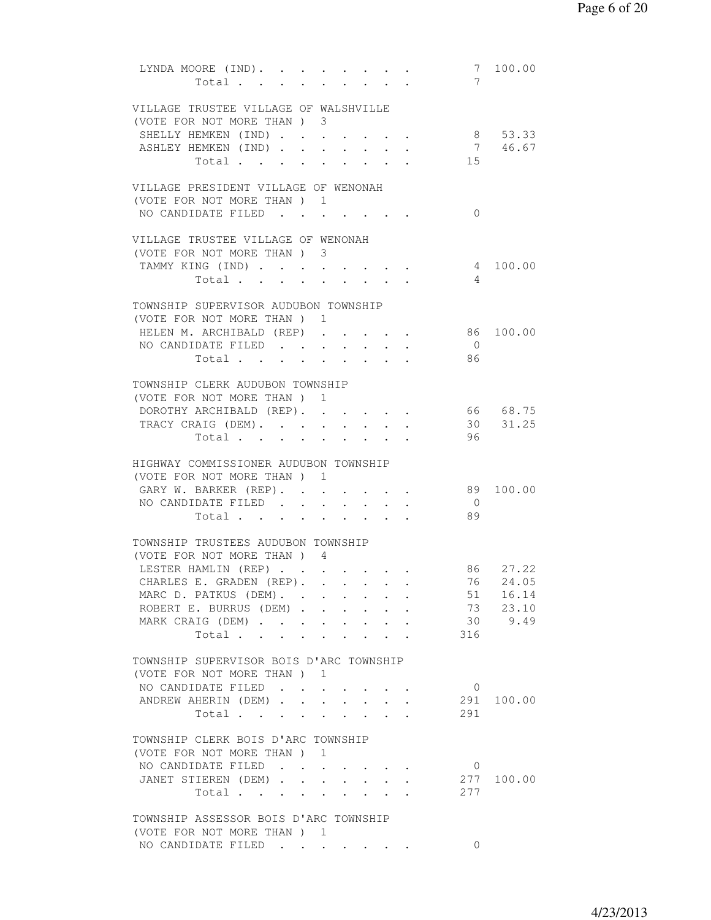| LYNDA MOORE (IND). 7 100.00<br>Total                                |                      |                 |        |                                                             |                                                                              | 7              |            |
|---------------------------------------------------------------------|----------------------|-----------------|--------|-------------------------------------------------------------|------------------------------------------------------------------------------|----------------|------------|
| VILLAGE TRUSTEE VILLAGE OF WALSHVILLE<br>(VOTE FOR NOT MORE THAN) 3 |                      |                 |        |                                                             |                                                                              |                |            |
| SHELLY HEMKEN (IND)                                                 |                      |                 |        |                                                             |                                                                              |                | 8 53.33    |
| ASHLEY HEMKEN (IND)                                                 |                      |                 |        |                                                             |                                                                              |                | 7 46.67    |
| Total                                                               | $\ddot{\phantom{0}}$ |                 |        |                                                             |                                                                              | 15             |            |
| VILLAGE PRESIDENT VILLAGE OF WENONAH                                |                      |                 |        |                                                             |                                                                              |                |            |
| (VOTE FOR NOT MORE THAN ) 1                                         |                      |                 |        |                                                             |                                                                              |                |            |
| NO CANDIDATE FILED                                                  |                      |                 |        |                                                             |                                                                              | $\Omega$       |            |
|                                                                     |                      |                 |        |                                                             |                                                                              |                |            |
| VILLAGE TRUSTEE VILLAGE OF WENONAH                                  |                      |                 |        |                                                             |                                                                              |                |            |
| (VOTE FOR NOT MORE THAN ) 3                                         |                      |                 |        |                                                             |                                                                              |                |            |
| TAMMY KING (IND)                                                    |                      | $\sim$          |        | $\cdot$ $\cdot$ $\cdot$                                     | $\mathbf{r} = \mathbf{r} \cdot \mathbf{r}$                                   |                | 4 100.00   |
| Total                                                               | $\sim$               |                 |        | $\sim$                                                      |                                                                              | $\overline{4}$ |            |
|                                                                     |                      |                 |        |                                                             |                                                                              |                |            |
| TOWNSHIP SUPERVISOR AUDUBON TOWNSHIP                                |                      |                 |        |                                                             |                                                                              |                |            |
| (VOTE FOR NOT MORE THAN) 1                                          |                      |                 |        |                                                             |                                                                              |                |            |
| HELEN M. ARCHIBALD (REP)                                            |                      |                 |        |                                                             |                                                                              |                | 86 100.00  |
| NO CANDIDATE FILED                                                  |                      |                 |        |                                                             |                                                                              | $\bigcirc$     |            |
| Total                                                               |                      |                 |        |                                                             |                                                                              | 86             |            |
|                                                                     |                      |                 |        |                                                             |                                                                              |                |            |
| TOWNSHIP CLERK AUDUBON TOWNSHIP                                     |                      |                 |        |                                                             |                                                                              |                |            |
| (VOTE FOR NOT MORE THAN) 1                                          |                      |                 |        |                                                             |                                                                              |                |            |
| DOROTHY ARCHIBALD (REP).                                            |                      |                 |        |                                                             |                                                                              | 66 68.75       |            |
| TRACY CRAIG (DEM). 30 31.25                                         |                      |                 |        |                                                             |                                                                              |                |            |
| Total                                                               |                      |                 |        |                                                             |                                                                              | 96             |            |
| HIGHWAY COMMISSIONER AUDUBON TOWNSHIP                               |                      |                 |        |                                                             |                                                                              |                |            |
| (VOTE FOR NOT MORE THAN) 1                                          |                      |                 |        |                                                             |                                                                              |                |            |
| GARY W. BARKER (REP).                                               |                      |                 |        |                                                             |                                                                              |                | 89 100.00  |
| NO CANDIDATE FILED.                                                 | $\ddot{\phantom{0}}$ |                 |        | $\bullet$ . The set of $\bullet$                            |                                                                              | $\overline{0}$ |            |
| Total                                                               | $\sim$               | $\sim 10^{-10}$ | $\sim$ |                                                             |                                                                              | 89             |            |
|                                                                     |                      |                 |        |                                                             |                                                                              |                |            |
| TOWNSHIP TRUSTEES AUDUBON TOWNSHIP                                  |                      |                 |        |                                                             |                                                                              |                |            |
| (VOTE FOR NOT MORE THAN) 4                                          |                      |                 |        |                                                             |                                                                              |                |            |
| LESTER HAMLIN (REP)                                                 |                      |                 |        |                                                             |                                                                              |                | 86 27.22   |
| CHARLES E. GRADEN (REP).                                            |                      |                 |        |                                                             |                                                                              | 76             | 24.05      |
| MARC D. PATKUS (DEM).                                               |                      |                 |        |                                                             |                                                                              | 51             | 16.14      |
| ROBERT E. BURRUS (DEM)                                              |                      |                 |        |                                                             |                                                                              | 73             | 23.10      |
| MARK CRAIG (DEM)                                                    |                      |                 |        | $\bullet$ .<br><br><br><br><br><br><br><br><br><br><br><br> |                                                                              | 30             | 9.49       |
| Total                                                               | $\sim$               |                 |        |                                                             |                                                                              | 316            |            |
|                                                                     |                      |                 |        |                                                             |                                                                              |                |            |
| TOWNSHIP SUPERVISOR BOIS D'ARC TOWNSHIP                             |                      |                 |        |                                                             |                                                                              |                |            |
| (VOTE FOR NOT MORE THAN ) 1                                         |                      |                 |        |                                                             |                                                                              |                |            |
| NO CANDIDATE FILED                                                  |                      |                 |        |                                                             |                                                                              | $\overline{0}$ |            |
| ANDREW AHERIN (DEM)                                                 |                      |                 |        | $\cdot$ $\cdot$ $\cdot$ $\cdot$ $\cdot$                     |                                                                              | 291            | 100.00     |
| Total                                                               |                      |                 |        |                                                             | $\cdot$ $\cdot$ $\cdot$ $\cdot$ $\cdot$ $\cdot$                              | 291            |            |
| TOWNSHIP CLERK BOIS D'ARC TOWNSHIP                                  |                      |                 |        |                                                             |                                                                              |                |            |
| (VOTE FOR NOT MORE THAN) 1                                          |                      |                 |        |                                                             |                                                                              |                |            |
| NO CANDIDATE FILED                                                  |                      |                 |        |                                                             |                                                                              | $\mathbf{0}$   |            |
| JANET STIEREN (DEM)                                                 |                      |                 |        |                                                             |                                                                              |                | 277 100.00 |
| Total                                                               |                      |                 |        |                                                             | $\mathbf{r} = \mathbf{r} \cdot \mathbf{r}$ , where $\mathbf{r} = \mathbf{r}$ | 277            |            |
|                                                                     |                      |                 |        |                                                             |                                                                              |                |            |
| TOWNSHIP ASSESSOR BOIS D'ARC TOWNSHIP                               |                      |                 |        |                                                             |                                                                              |                |            |
| (VOTE FOR NOT MORE THAN) 1                                          |                      |                 |        |                                                             |                                                                              |                |            |
| NO CANDIDATE FILED                                                  |                      |                 |        |                                                             |                                                                              | 0              |            |
|                                                                     |                      |                 |        |                                                             |                                                                              |                |            |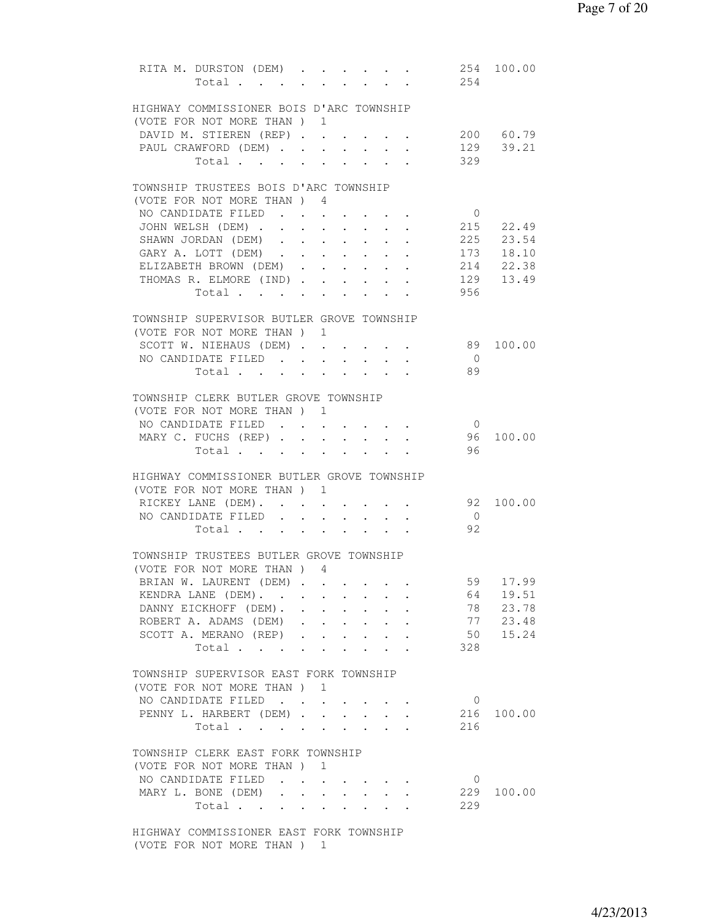|  | RITA M. DURSTON (DEM)<br>Total.            |                                                             |        |                                                                               |                                                           | 254            | 254 100.00 |
|--|--------------------------------------------|-------------------------------------------------------------|--------|-------------------------------------------------------------------------------|-----------------------------------------------------------|----------------|------------|
|  | HIGHWAY COMMISSIONER BOIS D'ARC TOWNSHIP   |                                                             |        |                                                                               |                                                           |                |            |
|  | (VOTE FOR NOT MORE THAN) 1                 |                                                             |        |                                                                               |                                                           |                |            |
|  | DAVID M. STIEREN (REP) 200 60.79           |                                                             |        |                                                                               |                                                           |                |            |
|  | PAUL CRAWFORD (DEM) 129 39.21              |                                                             |        |                                                                               |                                                           |                |            |
|  | Total 329                                  |                                                             |        |                                                                               |                                                           |                |            |
|  | TOWNSHIP TRUSTEES BOIS D'ARC TOWNSHIP      |                                                             |        |                                                                               |                                                           |                |            |
|  | (VOTE FOR NOT MORE THAN) 4                 |                                                             |        |                                                                               |                                                           |                |            |
|  | NO CANDIDATE FILED 0                       |                                                             |        |                                                                               |                                                           |                |            |
|  | JOHN WELSH (DEM) 215 22.49                 |                                                             |        |                                                                               |                                                           |                |            |
|  |                                            |                                                             |        |                                                                               |                                                           |                |            |
|  | SHAWN JORDAN (DEM) 225 23.54               |                                                             |        |                                                                               |                                                           |                |            |
|  | GARY A. LOTT (DEM) 173 18.10               |                                                             |        |                                                                               |                                                           |                |            |
|  | ELIZABETH BROWN (DEM)                      |                                                             |        |                                                                               |                                                           |                | 214 22.38  |
|  | THOMAS R. ELMORE (IND)                     |                                                             |        |                                                                               |                                                           |                | 129 13.49  |
|  | Total                                      |                                                             |        |                                                                               |                                                           | 956            |            |
|  | TOWNSHIP SUPERVISOR BUTLER GROVE TOWNSHIP  |                                                             |        |                                                                               |                                                           |                |            |
|  | (VOTE FOR NOT MORE THAN) 1                 |                                                             |        |                                                                               |                                                           |                |            |
|  | SCOTT W. NIEHAUS (DEM) 89                  |                                                             |        |                                                                               |                                                           |                | 100.00     |
|  | NO CANDIDATE FILED                         |                                                             |        |                                                                               |                                                           | $\overline{0}$ |            |
|  | Total 89                                   |                                                             |        |                                                                               |                                                           |                |            |
|  | TOWNSHIP CLERK BUTLER GROVE TOWNSHIP       |                                                             |        |                                                                               |                                                           |                |            |
|  | (VOTE FOR NOT MORE THAN) 1                 |                                                             |        |                                                                               |                                                           |                |            |
|  |                                            |                                                             |        |                                                                               |                                                           |                |            |
|  | NO CANDIDATE FILED                         |                                                             |        |                                                                               |                                                           | $\overline{0}$ |            |
|  | MARY C. FUCHS (REP)                        |                                                             |        |                                                                               |                                                           |                | 96 100.00  |
|  | Total.                                     |                                                             |        |                                                                               |                                                           | 96             |            |
|  | HIGHWAY COMMISSIONER BUTLER GROVE TOWNSHIP |                                                             |        |                                                                               |                                                           |                |            |
|  | (VOTE FOR NOT MORE THAN) 1                 |                                                             |        |                                                                               |                                                           |                |            |
|  | RICKEY LANE (DEM).                         |                                                             |        |                                                                               |                                                           |                | 92 100.00  |
|  | NO CANDIDATE FILED                         |                                                             |        |                                                                               |                                                           | $\overline{0}$ |            |
|  | Total                                      |                                                             |        |                                                                               |                                                           | 92             |            |
|  |                                            |                                                             |        |                                                                               |                                                           |                |            |
|  | TOWNSHIP TRUSTEES BUTLER GROVE TOWNSHIP    |                                                             |        |                                                                               |                                                           |                |            |
|  | (VOTE FOR NOT MORE THAN) 4                 |                                                             |        |                                                                               |                                                           |                |            |
|  | BRIAN W. LAURENT (DEM).                    |                                                             |        |                                                                               |                                                           | 59             | 17.99      |
|  | KENDRA LANE (DEM).                         |                                                             |        |                                                                               |                                                           | 64             | 19.51      |
|  | DANNY EICKHOFF (DEM).                      |                                                             |        | $\ddot{\phantom{0}}$                                                          |                                                           | 78             | 23.78      |
|  | ROBERT A. ADAMS (DEM)                      | $\cdot$ $\cdot$ $\cdot$ $\cdot$ $\cdot$ $\cdot$             |        |                                                                               |                                                           | 77             | 23.48      |
|  | SCOTT A. MERANO (REP)                      | $\ddot{\phantom{0}}$                                        |        | $\mathbf{r} = \mathbf{r} + \mathbf{r} + \mathbf{r} + \mathbf{r} + \mathbf{r}$ |                                                           | 50             | 15.24      |
|  | Total                                      | $\bullet$ .<br><br><br><br><br><br><br><br><br><br><br><br> |        | $\ddot{\phantom{0}}$                                                          | $\ddot{\phantom{0}}$                                      | 328            |            |
|  | TOWNSHIP SUPERVISOR EAST FORK TOWNSHIP     |                                                             |        |                                                                               |                                                           |                |            |
|  | (VOTE FOR NOT MORE THAN) 1                 |                                                             |        |                                                                               |                                                           |                |            |
|  | NO CANDIDATE FILED                         |                                                             |        |                                                                               |                                                           | $\overline{0}$ |            |
|  | PENNY L. HARBERT (DEM)                     |                                                             |        |                                                                               |                                                           | 216            | 100.00     |
|  |                                            |                                                             |        |                                                                               |                                                           | 216            |            |
|  | Total                                      |                                                             |        |                                                                               |                                                           |                |            |
|  | TOWNSHIP CLERK EAST FORK TOWNSHIP          |                                                             |        |                                                                               |                                                           |                |            |
|  | (VOTE FOR NOT MORE THAN ) 1                |                                                             |        |                                                                               |                                                           |                |            |
|  | NO CANDIDATE FILED.                        | $\ddot{\phantom{0}}$                                        |        |                                                                               |                                                           | $\overline{0}$ |            |
|  | MARY L. BONE (DEM)                         | $\ddot{\phantom{a}}$                                        | $\sim$ |                                                                               | $\mathbf{r}$ , $\mathbf{r}$ , $\mathbf{r}$ , $\mathbf{r}$ | 229            | 100.00     |
|  | Total                                      |                                                             | $\sim$ |                                                                               | $\cdot$ $\cdot$ $\cdot$                                   | 229            |            |
|  |                                            |                                                             |        |                                                                               |                                                           |                |            |
|  | HIGHWAY COMMISSIONER EAST FORK TOWNSHIP    |                                                             |        |                                                                               |                                                           |                |            |

(VOTE FOR NOT MORE THAN ) 1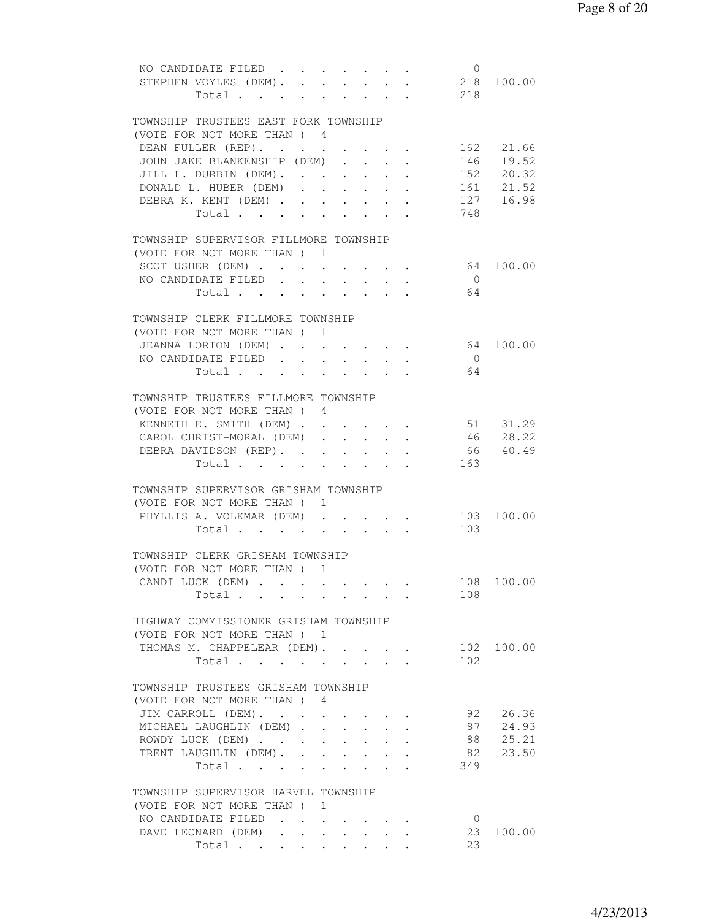| NO CANDIDATE FILED 0                                                                                                           |        |
|--------------------------------------------------------------------------------------------------------------------------------|--------|
| STEPHEN VOYLES (DEM). 218 100.00                                                                                               |        |
| 218<br>Total                                                                                                                   |        |
|                                                                                                                                |        |
| TOWNSHIP TRUSTEES EAST FORK TOWNSHIP                                                                                           |        |
| (VOTE FOR NOT MORE THAN) 4                                                                                                     |        |
|                                                                                                                                |        |
| DEAN FULLER (REP).<br>162 21.66                                                                                                |        |
| JOHN JAKE BLANKENSHIP (DEM)<br>146    19.52<br>152    20.32<br>161    21.52                                                    |        |
| JILL L. DURBIN (DEM).<br>$\mathcal{L}^{\text{max}}$                                                                            |        |
| DONALD L. HUBER (DEM)<br>$\sim$<br>$\sim$ $\sim$<br>$\sim$ $-$<br>$\ddot{\phantom{0}}$<br>$\mathbf{L} = \mathbf{L} \mathbf{L}$ |        |
| 127 16.98<br>DEBRA K. KENT (DEM)                                                                                               |        |
| 748<br>Total                                                                                                                   |        |
|                                                                                                                                |        |
| TOWNSHIP SUPERVISOR FILLMORE TOWNSHIP                                                                                          |        |
| (VOTE FOR NOT MORE THAN) 1                                                                                                     |        |
| 64 100.00<br>SCOT USHER (DEM)                                                                                                  |        |
| $\overline{0}$                                                                                                                 |        |
| NO CANDIDATE FILED                                                                                                             |        |
| Total<br>64                                                                                                                    |        |
|                                                                                                                                |        |
| TOWNSHIP CLERK FILLMORE TOWNSHIP                                                                                               |        |
| (VOTE FOR NOT MORE THAN) 1                                                                                                     |        |
| JEANNA LORTON (DEM) 64 100.00                                                                                                  |        |
| NO CANDIDATE FILED<br>$\overline{0}$                                                                                           |        |
| 64<br>Total $\cdot$                                                                                                            |        |
|                                                                                                                                |        |
| TOWNSHIP TRUSTEES FILLMORE TOWNSHIP                                                                                            |        |
|                                                                                                                                |        |
| (VOTE FOR NOT MORE THAN) 4                                                                                                     |        |
| KENNETH E. SMITH (DEM) 51 31.29                                                                                                |        |
| 46 28.22<br>CAROL CHRIST-MORAL (DEM)                                                                                           |        |
| DEBRA DAVIDSON (REP). 66 40.49                                                                                                 |        |
| Total 163                                                                                                                      |        |
|                                                                                                                                |        |
| TOWNSHIP SUPERVISOR GRISHAM TOWNSHIP                                                                                           |        |
| (VOTE FOR NOT MORE THAN ) 1                                                                                                    |        |
| PHYLLIS A. VOLKMAR (DEM)<br>103 100.00                                                                                         |        |
| 103<br>Total                                                                                                                   |        |
|                                                                                                                                |        |
|                                                                                                                                |        |
| TOWNSHIP CLERK GRISHAM TOWNSHIP                                                                                                |        |
| (VOTE FOR NOT MORE THAN) 1                                                                                                     |        |
| 108 100.00<br>CANDILUCK (DEM)                                                                                                  |        |
| 108<br>Total                                                                                                                   |        |
|                                                                                                                                |        |
| HIGHWAY COMMISSIONER GRISHAM TOWNSHIP                                                                                          |        |
| (VOTE FOR NOT MORE THAN) 1                                                                                                     |        |
| THOMAS M. CHAPPELEAR (DEM).<br>102                                                                                             | 100.00 |
| 102<br>Total<br>$\sim$<br>$\cdot$ $\cdot$                                                                                      |        |
|                                                                                                                                |        |
|                                                                                                                                |        |
| TOWNSHIP TRUSTEES GRISHAM TOWNSHIP                                                                                             |        |
| (VOTE FOR NOT MORE THAN ) 4                                                                                                    |        |
| JIM CARROLL (DEM).<br>92                                                                                                       | 26.36  |
| 87<br>MICHAEL LAUGHLIN (DEM)                                                                                                   | 24.93  |
| 88<br>ROWDY LUCK (DEM)                                                                                                         | 25.21  |
| 82<br>TRENT LAUGHLIN (DEM).                                                                                                    | 23.50  |
| 349<br>Total<br>$\ddot{\phantom{0}}$<br>$\ddot{\phantom{0}}$<br>$\ddot{\phantom{0}}$<br>$\ddot{\phantom{0}}$                   |        |
|                                                                                                                                |        |
| TOWNSHIP SUPERVISOR HARVEL TOWNSHIP                                                                                            |        |
| (VOTE FOR NOT MORE THAN) 1                                                                                                     |        |
| NO CANDIDATE FILED                                                                                                             |        |
| $\overline{0}$                                                                                                                 |        |
| DAVE LEONARD (DEM)<br>23                                                                                                       | 100.00 |
| 23<br>Total                                                                                                                    |        |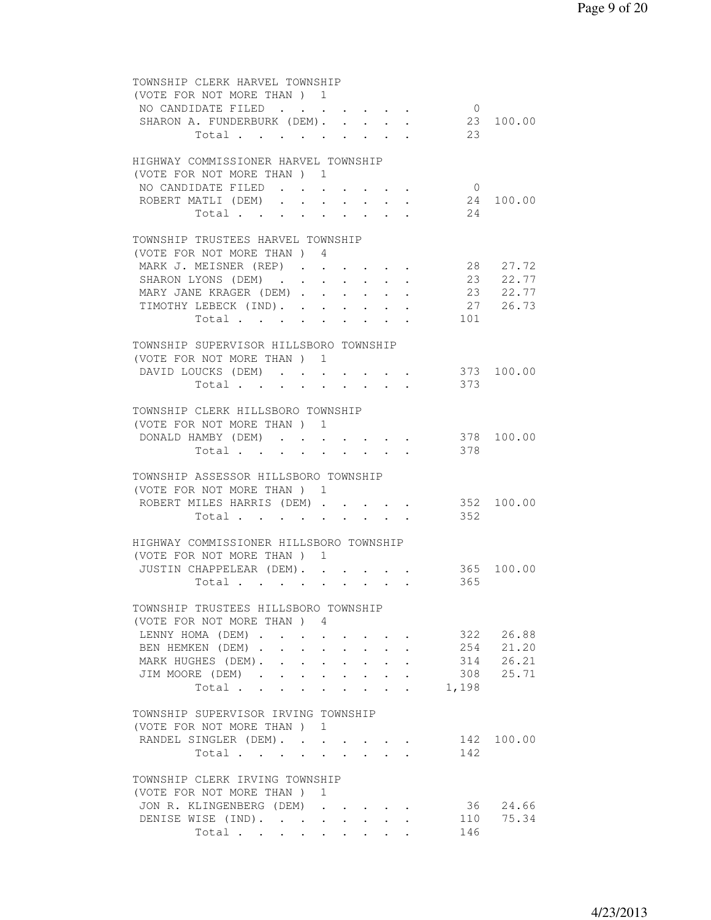| TOWNSHIP CLERK HARVEL TOWNSHIP                  |                      |                      |                 |                                         |            |              |                |            |
|-------------------------------------------------|----------------------|----------------------|-----------------|-----------------------------------------|------------|--------------|----------------|------------|
| (VOTE FOR NOT MORE THAN) 1                      |                      |                      |                 |                                         |            |              |                |            |
| NO CANDIDATE FILED                              |                      |                      |                 |                                         |            |              | $\overline{0}$ |            |
| SHARON A. FUNDERBURK (DEM). 23 100.00           |                      |                      |                 |                                         |            |              |                |            |
| Total 23                                        |                      |                      |                 |                                         |            |              |                |            |
|                                                 |                      |                      |                 |                                         |            |              |                |            |
| HIGHWAY COMMISSIONER HARVEL TOWNSHIP            |                      |                      |                 |                                         |            |              |                |            |
| (VOTE FOR NOT MORE THAN) 1                      |                      |                      |                 |                                         |            |              |                |            |
|                                                 |                      |                      |                 |                                         |            |              |                |            |
| NO CANDIDATE FILED                              |                      |                      |                 |                                         |            |              | $\overline{0}$ |            |
| ROBERT MATLI (DEM).                             | $\ddot{\phantom{0}}$ |                      |                 | $\sim$                                  |            |              |                | 24 100.00  |
| Total                                           |                      |                      |                 | $\cdot$ $\cdot$ $\cdot$ $\cdot$ $\cdot$ |            |              | 24             |            |
|                                                 |                      |                      |                 |                                         |            |              |                |            |
| TOWNSHIP TRUSTEES HARVEL TOWNSHIP               |                      |                      |                 |                                         |            |              |                |            |
| (VOTE FOR NOT MORE THAN) 4                      |                      |                      |                 |                                         |            |              |                |            |
| MARK J. MEISNER (REP)                           |                      |                      |                 |                                         |            |              |                | 28 27.72   |
| SHARON LYONS (DEM)                              |                      |                      |                 |                                         |            |              |                | 23 22.77   |
| MARY JANE KRAGER (DEM)                          |                      |                      |                 |                                         |            |              |                | 23 22.77   |
| TIMOTHY LEBECK (IND).                           |                      |                      | $\sim 10^{-10}$ |                                         |            |              |                | 27 26.73   |
| Total                                           |                      |                      |                 |                                         |            |              | 101            |            |
|                                                 |                      | $\sim$ 100 $\mu$     |                 | $\bullet$ . In the set of $\bullet$     |            |              |                |            |
|                                                 |                      |                      |                 |                                         |            |              |                |            |
| TOWNSHIP SUPERVISOR HILLSBORO TOWNSHIP          |                      |                      |                 |                                         |            |              |                |            |
| (VOTE FOR NOT MORE THAN ) 1                     |                      |                      |                 |                                         |            |              |                |            |
| DAVID LOUCKS (DEM) 373 100.00                   |                      |                      |                 |                                         |            |              |                |            |
| Total 373                                       |                      |                      |                 |                                         |            |              |                |            |
|                                                 |                      |                      |                 |                                         |            |              |                |            |
| TOWNSHIP CLERK HILLSBORO TOWNSHIP               |                      |                      |                 |                                         |            |              |                |            |
| (VOTE FOR NOT MORE THAN) 1                      |                      |                      |                 |                                         |            |              |                |            |
| DONALD HAMBY (DEM).                             |                      | $\sim$               |                 | $\cdot$ $\cdot$ $\cdot$ $\cdot$ $\cdot$ |            |              |                | 378 100.00 |
| Total                                           |                      |                      |                 |                                         |            |              | 378            |            |
|                                                 |                      |                      |                 |                                         |            |              |                |            |
| TOWNSHIP ASSESSOR HILLSBORO TOWNSHIP            |                      |                      |                 |                                         |            |              |                |            |
|                                                 |                      |                      |                 |                                         |            |              |                |            |
| (VOTE FOR NOT MORE THAN) 1                      |                      |                      |                 |                                         |            |              |                |            |
| ROBERT MILES HARRIS (DEM) 352 100.00            |                      |                      |                 |                                         |            |              |                |            |
| Total                                           |                      |                      |                 |                                         |            |              | 352            |            |
|                                                 |                      |                      |                 |                                         |            |              |                |            |
| HIGHWAY COMMISSIONER HILLSBORO TOWNSHIP         |                      |                      |                 |                                         |            |              |                |            |
| (VOTE FOR NOT MORE THAN) 1                      |                      |                      |                 |                                         |            |              |                |            |
| JUSTIN CHAPPELEAR (DEM). 365 100.00             |                      |                      |                 |                                         |            |              |                |            |
| Total $\cdot$                                   |                      |                      |                 |                                         |            |              | 365            |            |
|                                                 |                      |                      |                 |                                         |            |              |                |            |
| TOWNSHIP TRUSTEES HILLSBORO TOWNSHIP            |                      |                      |                 |                                         |            |              |                |            |
| (VOTE FOR NOT MORE THAN ) 4                     |                      |                      |                 |                                         |            |              |                |            |
|                                                 |                      |                      |                 |                                         |            |              |                |            |
| LENNY HOMA (DEM)                                |                      |                      |                 |                                         |            |              | 322            | 26.88      |
| BEN HEMKEN (DEM).                               | $\sim$               |                      |                 |                                         |            |              | 254            | 21.20      |
| MARK HUGHES (DEM).<br>$\mathbf{L}^{\text{max}}$ | $\ddot{\phantom{0}}$ | $\sim$ $\sim$        |                 |                                         |            |              | 314            | 26.21      |
| JIM MOORE (DEM) .<br>$\ddot{\phantom{0}}$       | $\ddot{\phantom{0}}$ | $\sim$ $\sim$        | $\sim$          | $\sim$                                  |            |              | 308            | 25.71      |
| Total                                           | $\sim$               | $\ddot{\phantom{0}}$ | $\cdot$         | $\sim$                                  | $\sim 100$ | $\mathbf{L}$ | 1,198          |            |
|                                                 |                      |                      |                 |                                         |            |              |                |            |
| TOWNSHIP SUPERVISOR IRVING TOWNSHIP             |                      |                      |                 |                                         |            |              |                |            |
| (VOTE FOR NOT MORE THAN ) 1                     |                      |                      |                 |                                         |            |              |                |            |
| RANDEL SINGLER (DEM).                           |                      |                      |                 |                                         |            |              |                | 142 100.00 |
| Total                                           |                      |                      |                 |                                         |            |              | 142            |            |
|                                                 |                      |                      |                 |                                         |            |              |                |            |
|                                                 |                      |                      |                 |                                         |            |              |                |            |
| TOWNSHIP CLERK IRVING TOWNSHIP                  |                      |                      |                 |                                         |            |              |                |            |
| (VOTE FOR NOT MORE THAN) 1                      |                      |                      |                 |                                         |            |              |                |            |
| JON R. KLINGENBERG (DEM)                        |                      |                      |                 |                                         |            |              |                | 36 24.66   |
| DENISE WISE (IND).                              |                      |                      |                 |                                         |            |              |                | 110 75.34  |
| Total                                           |                      |                      |                 |                                         |            |              | 146            |            |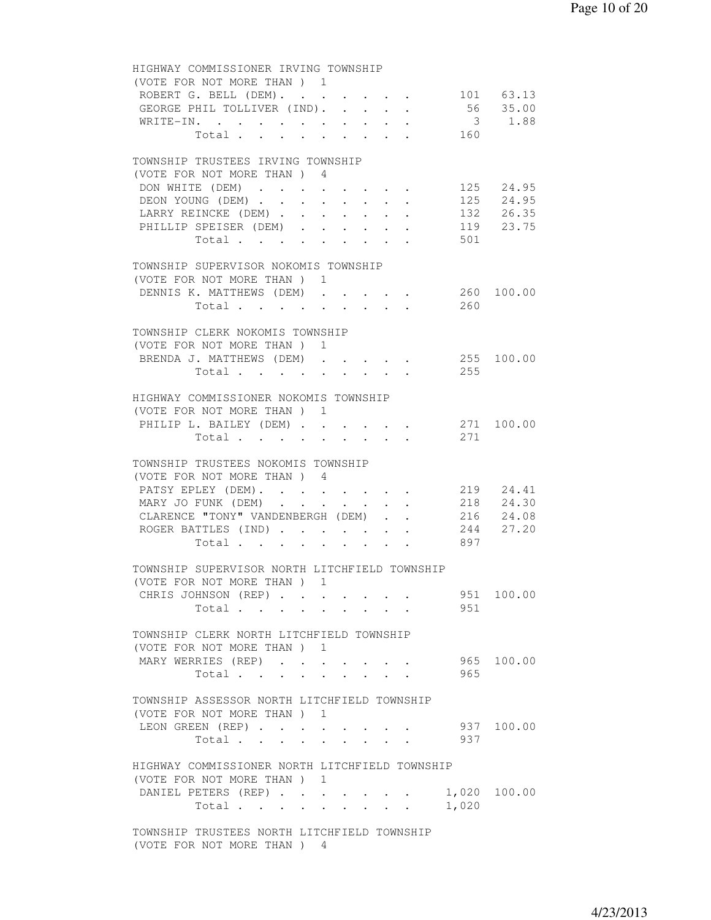| HIGHWAY COMMISSIONER IRVING TOWNSHIP                                                       |
|--------------------------------------------------------------------------------------------|
| (VOTE FOR NOT MORE THAN) 1                                                                 |
| ROBERT G. BELL (DEM). 101 63.13                                                            |
| 56 35.00<br>GEORGE PHIL TOLLIVER (IND).                                                    |
| 3 1.88<br>WRITE-IN.                                                                        |
| Total 160                                                                                  |
|                                                                                            |
| TOWNSHIP TRUSTEES IRVING TOWNSHIP                                                          |
| (VOTE FOR NOT MORE THAN) 4                                                                 |
| 125 24.95<br>DON WHITE (DEM)                                                               |
| 125 24.95<br>DEON YOUNG (DEM)                                                              |
| LARRY REINCKE (DEM)<br>132 26.35                                                           |
| PHILLIP SPEISER (DEM)<br>119 23.75                                                         |
|                                                                                            |
| 501<br>Total $\cdot$                                                                       |
|                                                                                            |
| TOWNSHIP SUPERVISOR NOKOMIS TOWNSHIP                                                       |
| (VOTE FOR NOT MORE THAN) 1                                                                 |
| DENNIS K. MATTHEWS (DEM)<br>260 100.00                                                     |
| 260<br>Total                                                                               |
|                                                                                            |
| TOWNSHIP CLERK NOKOMIS TOWNSHIP                                                            |
| (VOTE FOR NOT MORE THAN ) 1                                                                |
| BRENDA J. MATTHEWS (DEM) 255 100.00                                                        |
| Total 255                                                                                  |
|                                                                                            |
| HIGHWAY COMMISSIONER NOKOMIS TOWNSHIP                                                      |
| (VOTE FOR NOT MORE THAN) 1                                                                 |
| 271 100.00<br>PHILIP L. BAILEY (DEM)                                                       |
| Total<br>271                                                                               |
|                                                                                            |
| TOWNSHIP TRUSTEES NOKOMIS TOWNSHIP                                                         |
| (VOTE FOR NOT MORE THAN) 4                                                                 |
| PATSY EPLEY (DEM). 219 24.41                                                               |
| MARY JO FUNK (DEM)                                                                         |
| 218 24.30<br>CLARENCE "TONY" VANDENBERGH (DEM)                                             |
| 216 24.08<br>244 27.20<br>ROGER BATTLES (IND)                                              |
| 897                                                                                        |
| Total                                                                                      |
|                                                                                            |
| TOWNSHIP SUPERVISOR NORTH LITCHFIELD TOWNSHIP                                              |
| (VOTE FOR NOT MORE THAN) 1                                                                 |
| CHRIS JOHNSON (REP)<br>951 100.00                                                          |
| 951<br>Total                                                                               |
|                                                                                            |
| TOWNSHIP CLERK NORTH LITCHFIELD TOWNSHIP                                                   |
| (VOTE FOR NOT MORE THAN) 1                                                                 |
| 965 100.00<br>MARY WERRIES (REP)                                                           |
| 965<br>Total<br>$\mathbf{1}$ $\mathbf{1}$ $\mathbf{1}$ $\mathbf{1}$ $\mathbf{1}$<br>$\sim$ |
|                                                                                            |
| TOWNSHIP ASSESSOR NORTH LITCHFIELD TOWNSHIP                                                |
| (VOTE FOR NOT MORE THAN) 1                                                                 |
| 937 100.00<br>LEON GREEN (REP)                                                             |
| 937<br>Total $\cdots$ $\cdots$ $\cdots$                                                    |
|                                                                                            |
| HIGHWAY COMMISSIONER NORTH LITCHFIELD TOWNSHIP                                             |
| (VOTE FOR NOT MORE THAN) 1                                                                 |
| DANIEL PETERS (REP)<br>1,020 100.00                                                        |
| Total $\cdots$<br>1,020                                                                    |
|                                                                                            |
| TOWNSHIP TRUSTEES NORTH LITCHFIELD TOWNSHIP                                                |
|                                                                                            |
| (VOTE FOR NOT MORE THAN) 4                                                                 |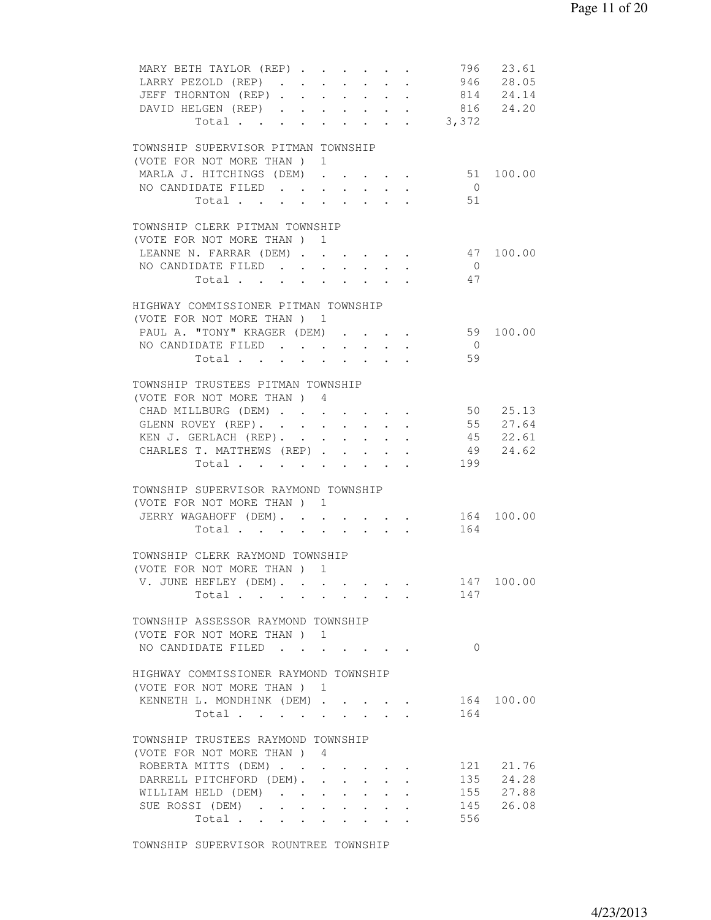| MARY BETH TAYLOR (REP) 796 23.61<br>LARRY PEZOLD (REP) 946 28.05<br>JEFF THORNTON (REP) 814 24.14<br>DAVID HELGEN (REP) 816 24.20<br>Total 3,372 |                      |  |                                                 |                                                                                                                                                                                                                                    |                |                    |
|--------------------------------------------------------------------------------------------------------------------------------------------------|----------------------|--|-------------------------------------------------|------------------------------------------------------------------------------------------------------------------------------------------------------------------------------------------------------------------------------------|----------------|--------------------|
| TOWNSHIP SUPERVISOR PITMAN TOWNSHIP                                                                                                              |                      |  |                                                 |                                                                                                                                                                                                                                    |                |                    |
| (VOTE FOR NOT MORE THAN ) 1<br>MARLA J. HITCHINGS (DEM) 51 100.00                                                                                |                      |  |                                                 |                                                                                                                                                                                                                                    |                |                    |
| NO CANDIDATE FILED                                                                                                                               |                      |  |                                                 |                                                                                                                                                                                                                                    | $\overline{0}$ |                    |
| Total 51                                                                                                                                         |                      |  |                                                 |                                                                                                                                                                                                                                    |                |                    |
| TOWNSHIP CLERK PITMAN TOWNSHIP<br>(VOTE FOR NOT MORE THAN ) 1                                                                                    |                      |  |                                                 |                                                                                                                                                                                                                                    |                |                    |
| LEANNE N. FARRAR (DEM)                                                                                                                           |                      |  |                                                 |                                                                                                                                                                                                                                    |                | 47 100.00          |
| NO CANDIDATE FILED                                                                                                                               | $\ddot{\phantom{0}}$ |  | $\cdot$ $\cdot$ $\cdot$ $\cdot$ $\cdot$ $\cdot$ |                                                                                                                                                                                                                                    | $\overline{0}$ |                    |
| Total                                                                                                                                            |                      |  |                                                 |                                                                                                                                                                                                                                    | 47             |                    |
| HIGHWAY COMMISSIONER PITMAN TOWNSHIP<br>(VOTE FOR NOT MORE THAN) 1                                                                               |                      |  |                                                 |                                                                                                                                                                                                                                    |                |                    |
| PAUL A. "TONY" KRAGER (DEM) 59 100.00                                                                                                            |                      |  |                                                 |                                                                                                                                                                                                                                    |                |                    |
| NO CANDIDATE FILED                                                                                                                               |                      |  |                                                 |                                                                                                                                                                                                                                    | $\overline{0}$ |                    |
| Total $\cdot$                                                                                                                                    |                      |  |                                                 |                                                                                                                                                                                                                                    | 59             |                    |
| TOWNSHIP TRUSTEES PITMAN TOWNSHIP<br>(VOTE FOR NOT MORE THAN) 4                                                                                  |                      |  |                                                 |                                                                                                                                                                                                                                    |                |                    |
| CHAD MILLBURG (DEM) 50 25.13                                                                                                                     |                      |  |                                                 |                                                                                                                                                                                                                                    |                |                    |
| GLENN ROVEY (REP). 55 27.64                                                                                                                      |                      |  |                                                 |                                                                                                                                                                                                                                    |                |                    |
| KEN J. GERLACH (REP). 45 22.61                                                                                                                   |                      |  |                                                 |                                                                                                                                                                                                                                    |                |                    |
| CHARLES T. MATTHEWS (REP) 49 24.62                                                                                                               |                      |  |                                                 |                                                                                                                                                                                                                                    |                |                    |
| Total 199                                                                                                                                        |                      |  |                                                 |                                                                                                                                                                                                                                    |                |                    |
| TOWNSHIP SUPERVISOR RAYMOND TOWNSHIP                                                                                                             |                      |  |                                                 |                                                                                                                                                                                                                                    |                |                    |
| (VOTE FOR NOT MORE THAN) 1                                                                                                                       |                      |  |                                                 |                                                                                                                                                                                                                                    |                |                    |
| JERRY WAGAHOFF (DEM). 164 100.00                                                                                                                 |                      |  |                                                 |                                                                                                                                                                                                                                    |                |                    |
| Total                                                                                                                                            |                      |  |                                                 |                                                                                                                                                                                                                                    | 164            |                    |
| TOWNSHIP CLERK RAYMOND TOWNSHIP<br>(VOTE FOR NOT MORE THAN) 1                                                                                    |                      |  |                                                 |                                                                                                                                                                                                                                    |                |                    |
| V. JUNE HEFLEY (DEM). .                                                                                                                          |                      |  |                                                 |                                                                                                                                                                                                                                    |                | 147 100.00         |
| Total                                                                                                                                            |                      |  |                                                 | $\bullet$ . In the case of the contract of the contract of the contract of the contract of the contract of the contract of the contract of the contract of the contract of the contract of the contract of the contract of the con | 147            |                    |
| TOWNSHIP ASSESSOR RAYMOND TOWNSHIP                                                                                                               |                      |  |                                                 |                                                                                                                                                                                                                                    |                |                    |
| (VOTE FOR NOT MORE THAN) 1<br>NO CANDIDATE FILED                                                                                                 |                      |  |                                                 |                                                                                                                                                                                                                                    | $\Omega$       |                    |
|                                                                                                                                                  |                      |  |                                                 |                                                                                                                                                                                                                                    |                |                    |
| HIGHWAY COMMISSIONER RAYMOND TOWNSHIP<br>(VOTE FOR NOT MORE THAN ) 1                                                                             |                      |  |                                                 |                                                                                                                                                                                                                                    |                |                    |
| KENNETH L. MONDHINK (DEM)                                                                                                                        |                      |  |                                                 |                                                                                                                                                                                                                                    |                | 164 100.00         |
| Total                                                                                                                                            |                      |  |                                                 |                                                                                                                                                                                                                                    | 164            |                    |
| TOWNSHIP TRUSTEES RAYMOND TOWNSHIP                                                                                                               |                      |  |                                                 |                                                                                                                                                                                                                                    |                |                    |
| (VOTE FOR NOT MORE THAN) 4                                                                                                                       |                      |  |                                                 |                                                                                                                                                                                                                                    |                |                    |
| ROBERTA MITTS (DEM)<br>DARRELL PITCHFORD (DEM).                                                                                                  |                      |  |                                                 |                                                                                                                                                                                                                                    | 121            | 21.76<br>135 24.28 |
| WILLIAM HELD (DEM)                                                                                                                               |                      |  |                                                 |                                                                                                                                                                                                                                    |                | 155 27.88          |
| SUE ROSSI (DEM)                                                                                                                                  |                      |  |                                                 |                                                                                                                                                                                                                                    | 145            | 26.08              |
| Total                                                                                                                                            |                      |  |                                                 |                                                                                                                                                                                                                                    | 556            |                    |
|                                                                                                                                                  |                      |  |                                                 |                                                                                                                                                                                                                                    |                |                    |

TOWNSHIP SUPERVISOR ROUNTREE TOWNSHIP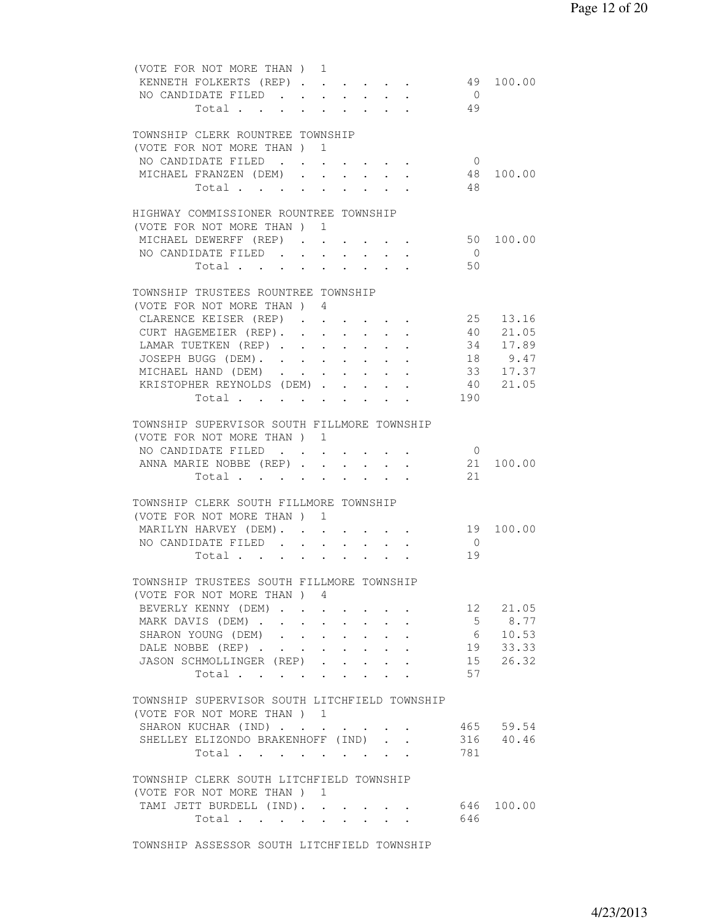| (VOTE FOR NOT MORE THAN) 1                    |        |                                                             |                                                               |                                          |                      |                                          |                                        |           |
|-----------------------------------------------|--------|-------------------------------------------------------------|---------------------------------------------------------------|------------------------------------------|----------------------|------------------------------------------|----------------------------------------|-----------|
| KENNETH FOLKERTS (REP)                        |        |                                                             |                                                               |                                          |                      |                                          |                                        | 49 100.00 |
| NO CANDIDATE FILED                            |        |                                                             |                                                               |                                          |                      |                                          | $\bigcirc$                             |           |
| Total                                         |        |                                                             |                                                               |                                          |                      |                                          | 49                                     |           |
|                                               |        |                                                             |                                                               |                                          |                      |                                          |                                        |           |
|                                               |        |                                                             |                                                               |                                          |                      |                                          |                                        |           |
| TOWNSHIP CLERK ROUNTREE TOWNSHIP              |        |                                                             |                                                               |                                          |                      |                                          |                                        |           |
| (VOTE FOR NOT MORE THAN ) 1                   |        |                                                             |                                                               |                                          |                      |                                          |                                        |           |
| NO CANDIDATE FILED                            |        |                                                             |                                                               |                                          |                      |                                          | $\overline{0}$                         |           |
| MICHAEL FRANZEN (DEM).                        |        | $\sim$                                                      |                                                               |                                          |                      | $\cdot$ $\cdot$ $\cdot$ $\cdot$ $\cdot$  | 48                                     | 100.00    |
| Total                                         |        |                                                             |                                                               | $\cdot$ $\cdot$ $\cdot$ $\cdot$          |                      |                                          | - 48                                   |           |
|                                               |        |                                                             |                                                               |                                          |                      |                                          |                                        |           |
|                                               |        |                                                             |                                                               |                                          |                      |                                          |                                        |           |
| HIGHWAY COMMISSIONER ROUNTREE TOWNSHIP        |        |                                                             |                                                               |                                          |                      |                                          |                                        |           |
| (VOTE FOR NOT MORE THAN) 1                    |        |                                                             |                                                               |                                          |                      |                                          |                                        |           |
| MICHAEL DEWERFF (REP) 50                      |        |                                                             |                                                               |                                          |                      |                                          |                                        | 100.00    |
| NO CANDIDATE FILED                            |        |                                                             |                                                               |                                          |                      |                                          | $\overline{0}$                         |           |
| Total                                         |        |                                                             |                                                               |                                          |                      |                                          | 50                                     |           |
|                                               |        |                                                             |                                                               |                                          |                      |                                          |                                        |           |
|                                               |        |                                                             |                                                               |                                          |                      |                                          |                                        |           |
| TOWNSHIP TRUSTEES ROUNTREE TOWNSHIP           |        |                                                             |                                                               |                                          |                      |                                          |                                        |           |
| (VOTE FOR NOT MORE THAN) 4                    |        |                                                             |                                                               |                                          |                      |                                          |                                        |           |
| CLARENCE KEISER (REP)                         |        |                                                             |                                                               |                                          |                      |                                          |                                        | 25 13.16  |
| CURT HAGEMEIER (REP). 40 21.05                |        |                                                             |                                                               |                                          |                      |                                          |                                        |           |
| LAMAR TUETKEN (REP) 34 17.89                  |        |                                                             |                                                               |                                          |                      |                                          |                                        |           |
|                                               |        |                                                             |                                                               |                                          |                      |                                          |                                        |           |
| JOSEPH BUGG (DEM). 18 9.47                    |        |                                                             |                                                               |                                          |                      |                                          |                                        |           |
| MICHAEL HAND (DEM)                            |        |                                                             |                                                               |                                          |                      |                                          |                                        | 33 17.37  |
| KRISTOPHER REYNOLDS (DEM)                     |        |                                                             |                                                               |                                          |                      |                                          |                                        | 40 21.05  |
| Total                                         |        |                                                             |                                                               |                                          |                      |                                          | 190                                    |           |
|                                               |        |                                                             |                                                               |                                          |                      |                                          |                                        |           |
| TOWNSHIP SUPERVISOR SOUTH FILLMORE TOWNSHIP   |        |                                                             |                                                               |                                          |                      |                                          |                                        |           |
| (VOTE FOR NOT MORE THAN ) 1                   |        |                                                             |                                                               |                                          |                      |                                          |                                        |           |
|                                               |        |                                                             |                                                               |                                          |                      |                                          |                                        |           |
| NO CANDIDATE FILED                            |        |                                                             |                                                               |                                          |                      |                                          | $\overline{0}$                         |           |
| ANNA MARIE NOBBE (REP) 21                     |        |                                                             |                                                               |                                          |                      |                                          |                                        | 100.00    |
| Total 21                                      |        |                                                             |                                                               |                                          |                      |                                          |                                        |           |
|                                               |        |                                                             |                                                               |                                          |                      |                                          |                                        |           |
| TOWNSHIP CLERK SOUTH FILLMORE TOWNSHIP        |        |                                                             |                                                               |                                          |                      |                                          |                                        |           |
| (VOTE FOR NOT MORE THAN) 1                    |        |                                                             |                                                               |                                          |                      |                                          |                                        |           |
| MARILYN HARVEY (DEM).                         |        |                                                             |                                                               |                                          |                      |                                          |                                        | 19 100.00 |
|                                               |        |                                                             |                                                               | $\mathbf{r} = \mathbf{r} + \mathbf{r}$ . |                      | $\mathbf{r} = \mathbf{r} + \mathbf{r}$ . |                                        |           |
| NO CANDIDATE FILED                            |        | $\sim$                                                      | $\mathbf{L}^{\text{max}}$                                     | $\ddot{\phantom{0}}$                     | $\ddot{\phantom{0}}$ | $\sim$                                   | $\overline{0}$                         |           |
| Total                                         |        |                                                             |                                                               |                                          |                      |                                          | 19                                     |           |
|                                               |        |                                                             |                                                               |                                          |                      |                                          |                                        |           |
| TOWNSHIP TRUSTEES SOUTH FILLMORE TOWNSHIP     |        |                                                             |                                                               |                                          |                      |                                          |                                        |           |
| (VOTE FOR NOT MORE THAN) 4                    |        |                                                             |                                                               |                                          |                      |                                          |                                        |           |
| BEVERLY KENNY (DEM)                           |        |                                                             |                                                               |                                          |                      |                                          |                                        | 12 21.05  |
|                                               |        |                                                             |                                                               |                                          |                      |                                          |                                        |           |
| MARK DAVIS (DEM)                              |        | $\bullet$ .<br><br><br><br><br><br><br><br><br><br><br><br> |                                                               |                                          |                      |                                          | $5\overline{)}$                        | 8.77      |
| SHARON YOUNG (DEM)<br>$\sim$                  |        |                                                             | $\mathcal{L}^{\text{max}}$ , where $\mathcal{L}^{\text{max}}$ |                                          |                      |                                          | $\begin{array}{c} 6 \\ 19 \end{array}$ | 10.53     |
| DALE NOBBE (REP)                              | $\sim$ | $\sim$                                                      |                                                               |                                          |                      |                                          |                                        | 33.33     |
| JASON SCHMOLLINGER (REP)                      |        |                                                             | $\sim$                                                        |                                          |                      |                                          | 15                                     | 26.32     |
| Total                                         |        |                                                             | $\mathbf{L}$                                                  |                                          |                      |                                          | 57                                     |           |
|                                               |        |                                                             |                                                               |                                          |                      |                                          |                                        |           |
|                                               |        |                                                             |                                                               |                                          |                      |                                          |                                        |           |
| TOWNSHIP SUPERVISOR SOUTH LITCHFIELD TOWNSHIP |        |                                                             |                                                               |                                          |                      |                                          |                                        |           |
| (VOTE FOR NOT MORE THAN ) 1                   |        |                                                             |                                                               |                                          |                      |                                          |                                        |           |
| SHARON KUCHAR (IND)                           |        |                                                             |                                                               |                                          |                      |                                          |                                        | 465 59.54 |
| SHELLEY ELIZONDO BRAKENHOFF (IND).            |        |                                                             |                                                               |                                          |                      |                                          |                                        | 316 40.46 |
| Total                                         |        |                                                             |                                                               |                                          |                      |                                          | 781                                    |           |
|                                               |        |                                                             |                                                               |                                          |                      |                                          |                                        |           |
|                                               |        |                                                             |                                                               |                                          |                      |                                          |                                        |           |
| TOWNSHIP CLERK SOUTH LITCHFIELD TOWNSHIP      |        |                                                             |                                                               |                                          |                      |                                          |                                        |           |
| (VOTE FOR NOT MORE THAN) 1                    |        |                                                             |                                                               |                                          |                      |                                          |                                        |           |
| TAMI JETT BURDELL (IND). 646 100.00           |        |                                                             |                                                               |                                          |                      |                                          |                                        |           |
| Total $\cdot$                                 |        |                                                             |                                                               |                                          |                      |                                          | 646                                    |           |
|                                               |        |                                                             |                                                               |                                          |                      |                                          |                                        |           |
|                                               |        |                                                             |                                                               |                                          |                      |                                          |                                        |           |

TOWNSHIP ASSESSOR SOUTH LITCHFIELD TOWNSHIP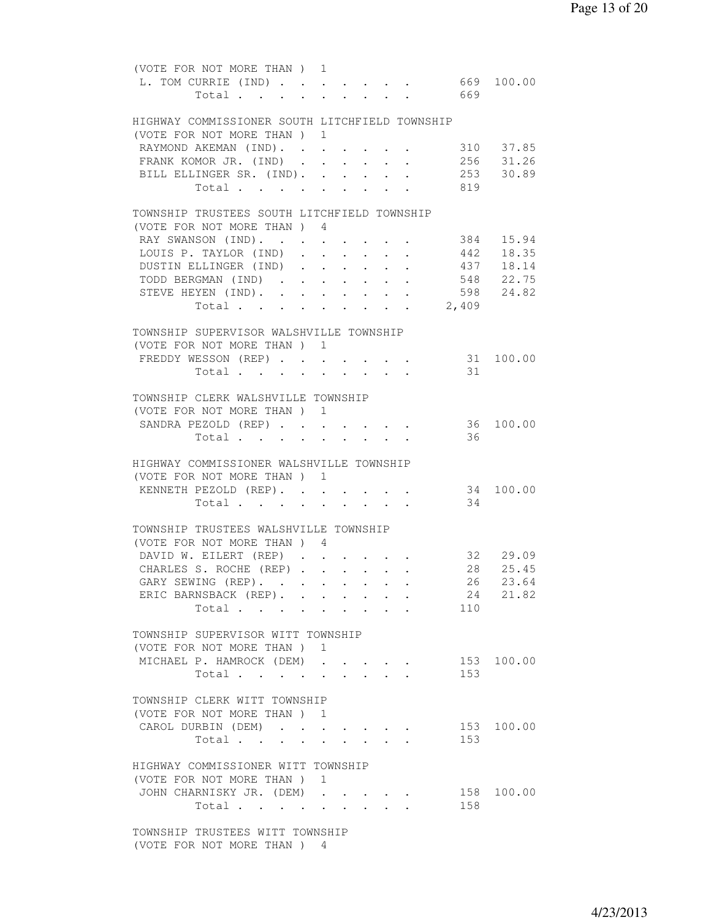|  | (VOTE FOR NOT MORE THAN) 1                     |  |              |  |                                                                  |                                             |                        |
|--|------------------------------------------------|--|--------------|--|------------------------------------------------------------------|---------------------------------------------|------------------------|
|  | L. TOM CURRIE (IND) 669 100.00                 |  |              |  |                                                                  |                                             |                        |
|  | Total                                          |  | $\mathbf{L}$ |  |                                                                  | $\cdot$ $\cdot$ $\cdot$ $\cdot$ $\cdot$ 669 |                        |
|  |                                                |  |              |  |                                                                  |                                             |                        |
|  | HIGHWAY COMMISSIONER SOUTH LITCHFIELD TOWNSHIP |  |              |  |                                                                  |                                             |                        |
|  | (VOTE FOR NOT MORE THAN) 1                     |  |              |  |                                                                  |                                             |                        |
|  | RAYMOND AKEMAN (IND).                          |  |              |  |                                                                  |                                             | 310 37.85              |
|  | FRANK KOMOR JR. (IND)                          |  |              |  |                                                                  |                                             |                        |
|  | BILL ELLINGER SR. (IND). .                     |  |              |  |                                                                  |                                             | 256 31.26<br>253 30.89 |
|  |                                                |  |              |  | $\mathbf{r} = \mathbf{r} + \mathbf{r} + \mathbf{r} + \mathbf{r}$ |                                             |                        |
|  | Total                                          |  |              |  |                                                                  | 819                                         |                        |
|  |                                                |  |              |  |                                                                  |                                             |                        |
|  | TOWNSHIP TRUSTEES SOUTH LITCHFIELD TOWNSHIP    |  |              |  |                                                                  |                                             |                        |
|  | (VOTE FOR NOT MORE THAN) 4                     |  |              |  |                                                                  |                                             |                        |
|  | RAY SWANSON (IND). 384 15.94                   |  |              |  |                                                                  |                                             |                        |
|  | LOUIS P. TAYLOR (IND) 442 18.35                |  |              |  |                                                                  |                                             |                        |
|  | DUSTIN ELLINGER (IND)                          |  |              |  |                                                                  |                                             | 437 18.14              |
|  | TODD BERGMAN (IND)                             |  |              |  |                                                                  |                                             | 548 22.75              |
|  | STEVE HEYEN (IND).                             |  |              |  |                                                                  |                                             | 598 24.82              |
|  | Total                                          |  |              |  |                                                                  | 2,409                                       |                        |
|  |                                                |  |              |  |                                                                  |                                             |                        |
|  | TOWNSHIP SUPERVISOR WALSHVILLE TOWNSHIP        |  |              |  |                                                                  |                                             |                        |
|  | (VOTE FOR NOT MORE THAN) 1                     |  |              |  |                                                                  |                                             |                        |
|  | FREDDY WESSON (REP) 31 100.00                  |  |              |  |                                                                  |                                             |                        |
|  | Total 31                                       |  |              |  |                                                                  |                                             |                        |
|  |                                                |  |              |  |                                                                  |                                             |                        |
|  |                                                |  |              |  |                                                                  |                                             |                        |
|  | TOWNSHIP CLERK WALSHVILLE TOWNSHIP             |  |              |  |                                                                  |                                             |                        |
|  | (VOTE FOR NOT MORE THAN) 1                     |  |              |  |                                                                  |                                             |                        |
|  | SANDRA PEZOLD (REP)                            |  |              |  | $\cdot$ $\cdot$ $\cdot$ $\cdot$ $\cdot$                          |                                             | 36 100.00              |
|  | Total                                          |  |              |  |                                                                  | -36                                         |                        |
|  |                                                |  |              |  |                                                                  |                                             |                        |
|  | HIGHWAY COMMISSIONER WALSHVILLE TOWNSHIP       |  |              |  |                                                                  |                                             |                        |
|  | (VOTE FOR NOT MORE THAN) 1                     |  |              |  |                                                                  |                                             |                        |
|  | KENNETH PEZOLD (REP).                          |  |              |  |                                                                  |                                             | 34 100.00              |
|  | Total                                          |  |              |  |                                                                  | 34                                          |                        |
|  |                                                |  |              |  |                                                                  |                                             |                        |
|  | TOWNSHIP TRUSTEES WALSHVILLE TOWNSHIP          |  |              |  |                                                                  |                                             |                        |
|  | (VOTE FOR NOT MORE THAN) 4                     |  |              |  |                                                                  |                                             |                        |
|  | DAVID W. EILERT (REP) 32 29.09                 |  |              |  |                                                                  |                                             |                        |
|  | CHARLES S. ROCHE (REP) 28 25.45                |  |              |  |                                                                  |                                             |                        |
|  | GARY SEWING (REP). 26 23.64                    |  |              |  |                                                                  |                                             |                        |
|  | ERIC BARNSBACK (REP).                          |  |              |  |                                                                  |                                             | 24 21.82               |
|  |                                                |  |              |  |                                                                  |                                             |                        |
|  | Total                                          |  |              |  |                                                                  | 110                                         |                        |
|  |                                                |  |              |  |                                                                  |                                             |                        |
|  | TOWNSHIP SUPERVISOR WITT TOWNSHIP              |  |              |  |                                                                  |                                             |                        |
|  | (VOTE FOR NOT MORE THAN) 1                     |  |              |  |                                                                  |                                             |                        |
|  | MICHAEL P. HAMROCK (DEM)                       |  |              |  |                                                                  |                                             | 153 100.00             |
|  | Total                                          |  |              |  |                                                                  | 153                                         |                        |
|  |                                                |  |              |  |                                                                  |                                             |                        |
|  | TOWNSHIP CLERK WITT TOWNSHIP                   |  |              |  |                                                                  |                                             |                        |
|  | (VOTE FOR NOT MORE THAN ) 1                    |  |              |  |                                                                  |                                             |                        |
|  | CAROL DURBIN (DEM)                             |  |              |  |                                                                  | 153                                         | 100.00                 |
|  | Total                                          |  |              |  |                                                                  | 153                                         |                        |
|  |                                                |  |              |  |                                                                  |                                             |                        |
|  | HIGHWAY COMMISSIONER WITT TOWNSHIP             |  |              |  |                                                                  |                                             |                        |
|  | (VOTE FOR NOT MORE THAN) 1                     |  |              |  |                                                                  |                                             |                        |
|  | JOHN CHARNISKY JR. (DEM)                       |  |              |  |                                                                  |                                             | 158 100.00             |
|  |                                                |  |              |  |                                                                  | 158                                         |                        |
|  | Total $\cdots$                                 |  |              |  |                                                                  |                                             |                        |
|  |                                                |  |              |  |                                                                  |                                             |                        |
|  | TOWNSHIP TRUSTEES WITT TOWNSHIP                |  |              |  |                                                                  |                                             |                        |
|  | (VOTE FOR NOT MORE THAN) 4                     |  |              |  |                                                                  |                                             |                        |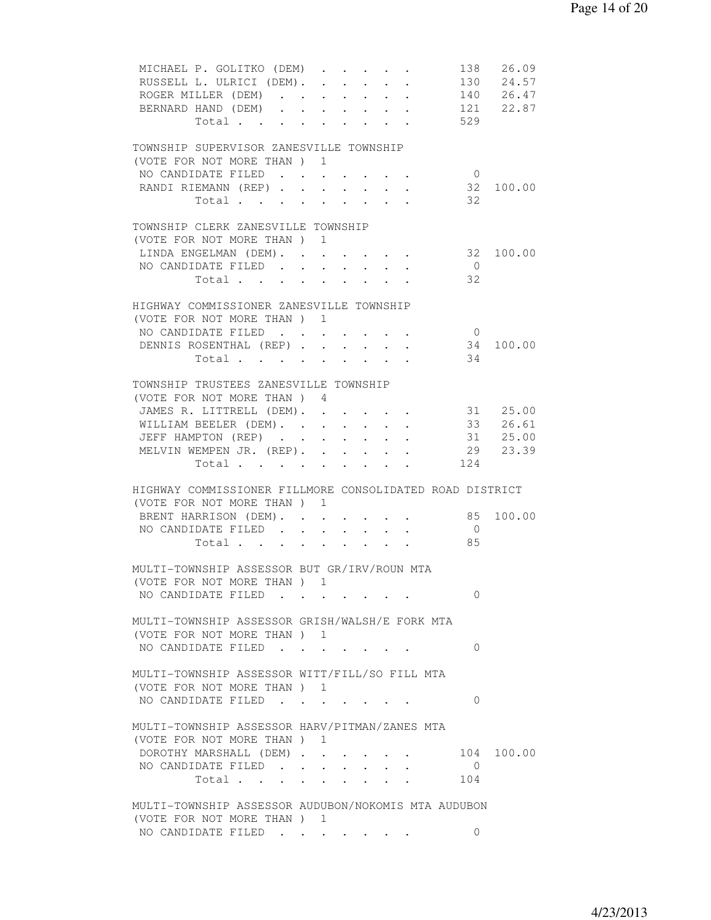| MICHAEL P. GOLITKO (DEM)<br>RUSSELL L. ULRICI (DEM). 130 24.57<br>ROGER MILLER (DEM) 140 26.47<br>BERNARD HAND (DEM)<br>Total                                                  |                                                             |                                                                              |                                              | 529                          | 138 26.09<br>121 22.87 |
|--------------------------------------------------------------------------------------------------------------------------------------------------------------------------------|-------------------------------------------------------------|------------------------------------------------------------------------------|----------------------------------------------|------------------------------|------------------------|
| TOWNSHIP SUPERVISOR ZANESVILLE TOWNSHIP<br>(VOTE FOR NOT MORE THAN ) 1<br>NO CANDIDATE FILED 0<br>RANDI RIEMANN (REP) 32<br>Total $\cdots$ $\cdots$ $\cdots$ $\cdots$ 32       |                                                             |                                                                              |                                              |                              | 100.00                 |
| TOWNSHIP CLERK ZANESVILLE TOWNSHIP<br>(VOTE FOR NOT MORE THAN) 1<br>LINDA ENGELMAN (DEM).<br>NO CANDIDATE FILED<br>Total.                                                      | $\sim$                                                      | $\mathbf{r}$ , $\mathbf{r}$ , $\mathbf{r}$ , $\mathbf{r}$<br>$\cdot$ $\cdot$ | $\mathbf{r} = \mathbf{r} \cdot \mathbf{r}$ . | $\overline{0}$<br>32         | 32 100.00              |
| HIGHWAY COMMISSIONER ZANESVILLE TOWNSHIP<br>(VOTE FOR NOT MORE THAN) 1<br>NO CANDIDATE FILED<br>DENNIS ROSENTHAL (REP)<br>Total<br>TOWNSHIP TRUSTEES ZANESVILLE TOWNSHIP       |                                                             |                                                                              |                                              | $\overline{0}$<br>34<br>34   | 100.00                 |
| (VOTE FOR NOT MORE THAN) 4<br>JAMES R. LITTRELL (DEM). 31 25.00<br>WILLIAM BEELER (DEM). 33 26.61<br>JEFF HAMPTON (REP) 31 25.00<br>MELVIN WEMPEN JR. (REP). 29 23.39<br>Total |                                                             |                                                                              |                                              | 124                          |                        |
| HIGHWAY COMMISSIONER FILLMORE CONSOLIDATED ROAD DISTRICT<br>(VOTE FOR NOT MORE THAN) 1<br>BRENT HARRISON (DEM). 85<br>NO CANDIDATE FILED<br>Total 85                           |                                                             |                                                                              |                                              | $\overline{0}$               | 100.00                 |
| MULTI-TOWNSHIP ASSESSOR BUT GR/IRV/ROUN MTA<br>(VOTE FOR NOT MORE THAN ) 1<br>NO CANDIDATE FILED<br>MULTI-TOWNSHIP ASSESSOR GRISH/WALSH/E FORK MTA                             |                                                             |                                                                              |                                              | $\Omega$                     |                        |
| (VOTE FOR NOT MORE THAN ) 1<br>NO CANDIDATE FILED<br>MULTI-TOWNSHIP ASSESSOR WITT/FILL/SO FILL MTA                                                                             |                                                             |                                                                              |                                              | $\Omega$                     |                        |
| (VOTE FOR NOT MORE THAN ) 1<br>NO CANDIDATE FILED $\cdot \cdot \cdot \cdot \cdot \cdot \cdot$<br>MULTI-TOWNSHIP ASSESSOR HARV/PITMAN/ZANES MTA                                 |                                                             |                                                                              |                                              | $\Omega$                     |                        |
| (VOTE FOR NOT MORE THAN ) 1<br>DOROTHY MARSHALL (DEM)<br>NO CANDIDATE FILED<br>Total                                                                                           | $\bullet$ .<br><br><br><br><br><br><br><br><br><br><br><br> |                                                                              | <b>Contract Contract</b>                     | 104<br>$\overline{0}$<br>104 | 100.00                 |
| MULTI-TOWNSHIP ASSESSOR AUDUBON/NOKOMIS MTA AUDUBON<br>(VOTE FOR NOT MORE THAN) 1<br>NO CANDIDATE FILED                                                                        |                                                             |                                                                              |                                              | 0                            |                        |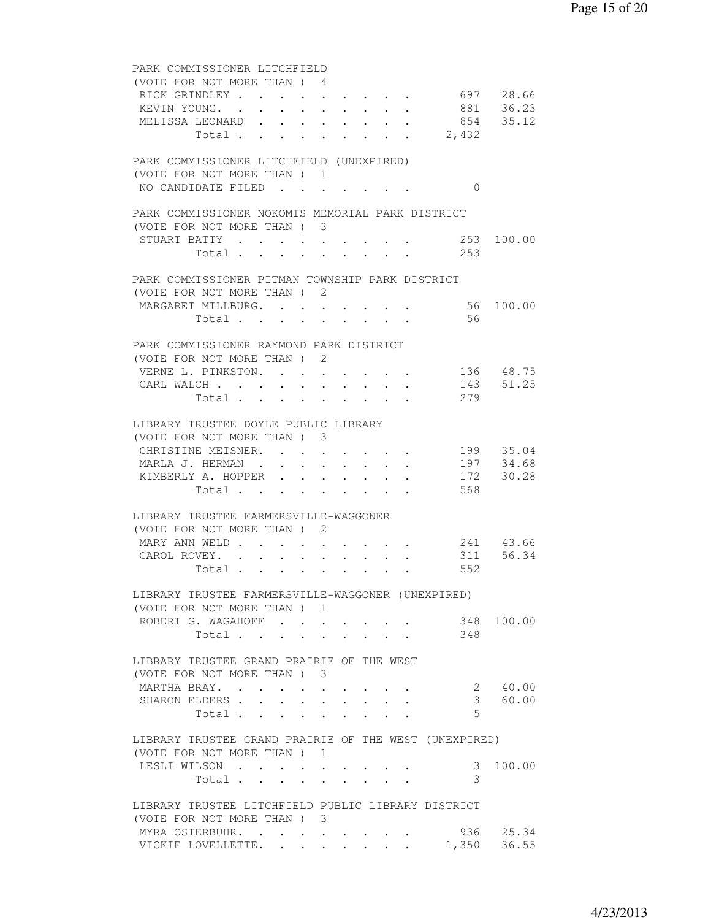| PARK COMMISSIONER LITCHFIELD                                                                                                                            |  |
|---------------------------------------------------------------------------------------------------------------------------------------------------------|--|
| (VOTE FOR NOT MORE THAN) 4                                                                                                                              |  |
| RICK GRINDLEY 697 28.66                                                                                                                                 |  |
| KEVIN YOUNG. 881 36.23                                                                                                                                  |  |
| MELISSA LEONARD 854 35.12                                                                                                                               |  |
| Total 2,432                                                                                                                                             |  |
|                                                                                                                                                         |  |
| PARK COMMISSIONER LITCHFIELD (UNEXPIRED)                                                                                                                |  |
| (VOTE FOR NOT MORE THAN) 1                                                                                                                              |  |
| NO CANDIDATE FILED<br>$\Omega$                                                                                                                          |  |
|                                                                                                                                                         |  |
| PARK COMMISSIONER NOKOMIS MEMORIAL PARK DISTRICT                                                                                                        |  |
| (VOTE FOR NOT MORE THAN) 3                                                                                                                              |  |
| STUART BATTY 253 100.00                                                                                                                                 |  |
| Total 253                                                                                                                                               |  |
| PARK COMMISSIONER PITMAN TOWNSHIP PARK DISTRICT                                                                                                         |  |
| (VOTE FOR NOT MORE THAN) 2                                                                                                                              |  |
| 56 100.00<br>MARGARET MILLBURG.                                                                                                                         |  |
| $\sim$<br>$\sim 10^{-11}$<br>$\mathbf{A}$ and $\mathbf{A}$ and $\mathbf{A}$<br>$\mathbf{1}$ , $\mathbf{1}$ , $\mathbf{1}$ , $\mathbf{1}$<br>56<br>Total |  |
| $\sim$                                                                                                                                                  |  |
| PARK COMMISSIONER RAYMOND PARK DISTRICT                                                                                                                 |  |
| (VOTE FOR NOT MORE THAN) 2                                                                                                                              |  |
| VERNE L. PINKSTON. 136 48.75                                                                                                                            |  |
| 143 51.25                                                                                                                                               |  |
| CARL WALCH<br>279                                                                                                                                       |  |
| Total                                                                                                                                                   |  |
| LIBRARY TRUSTEE DOYLE PUBLIC LIBRARY                                                                                                                    |  |
| (VOTE FOR NOT MORE THAN) 3                                                                                                                              |  |
| CHRISTINE MEISNER. 199 35.04                                                                                                                            |  |
| MARLA J. HERMAN 197 34.68                                                                                                                               |  |
| KIMBERLY A. HOPPER 172 30.28                                                                                                                            |  |
| 568                                                                                                                                                     |  |
| Total $\cdot$                                                                                                                                           |  |
| LIBRARY TRUSTEE FARMERSVILLE-WAGGONER                                                                                                                   |  |
| (VOTE FOR NOT MORE THAN) 2                                                                                                                              |  |
| 241 43.66<br>MARY ANN WELD                                                                                                                              |  |
| $\mathbf{r} = \mathbf{r} + \mathbf{r} + \mathbf{r} + \mathbf{r}$ . The set of the $\mathbf{r}$<br>$\sim$ $-$<br>$\bullet$ .<br>311 56.34                |  |
| CAROL ROVEY.                                                                                                                                            |  |
| Total<br>552                                                                                                                                            |  |
| LIBRARY TRUSTEE FARMERSVILLE-WAGGONER (UNEXPIRED)                                                                                                       |  |
| (VOTE FOR NOT MORE THAN) 1                                                                                                                              |  |
| 348 100.00<br>ROBERT G. WAGAHOFF                                                                                                                        |  |
| 348                                                                                                                                                     |  |
| Total                                                                                                                                                   |  |
| LIBRARY TRUSTEE GRAND PRAIRIE OF THE WEST                                                                                                               |  |
| (VOTE FOR NOT MORE THAN) 3                                                                                                                              |  |
| 2 40.00<br>MARTHA BRAY.                                                                                                                                 |  |
| 3 60.00<br>SHARON ELDERS                                                                                                                                |  |
| $5^{\circ}$                                                                                                                                             |  |
| Total                                                                                                                                                   |  |
| LIBRARY TRUSTEE GRAND PRAIRIE OF THE WEST (UNEXPIRED)                                                                                                   |  |
| (VOTE FOR NOT MORE THAN) 1                                                                                                                              |  |
| LESLI WILSON<br>100.00<br>3                                                                                                                             |  |
| $\ddot{\phantom{0}}$<br>$\sim$<br>3                                                                                                                     |  |
| Total<br>$\mathbf{r} = \mathbf{r} + \mathbf{r}$<br>$\mathbf{L}$                                                                                         |  |
| LIBRARY TRUSTEE LITCHFIELD PUBLIC LIBRARY DISTRICT                                                                                                      |  |
| (VOTE FOR NOT MORE THAN) 3                                                                                                                              |  |
| 936 25.34<br>MYRA OSTERBUHR.                                                                                                                            |  |
| VICKIE LOVELLETTE. 1,350 36.55                                                                                                                          |  |
|                                                                                                                                                         |  |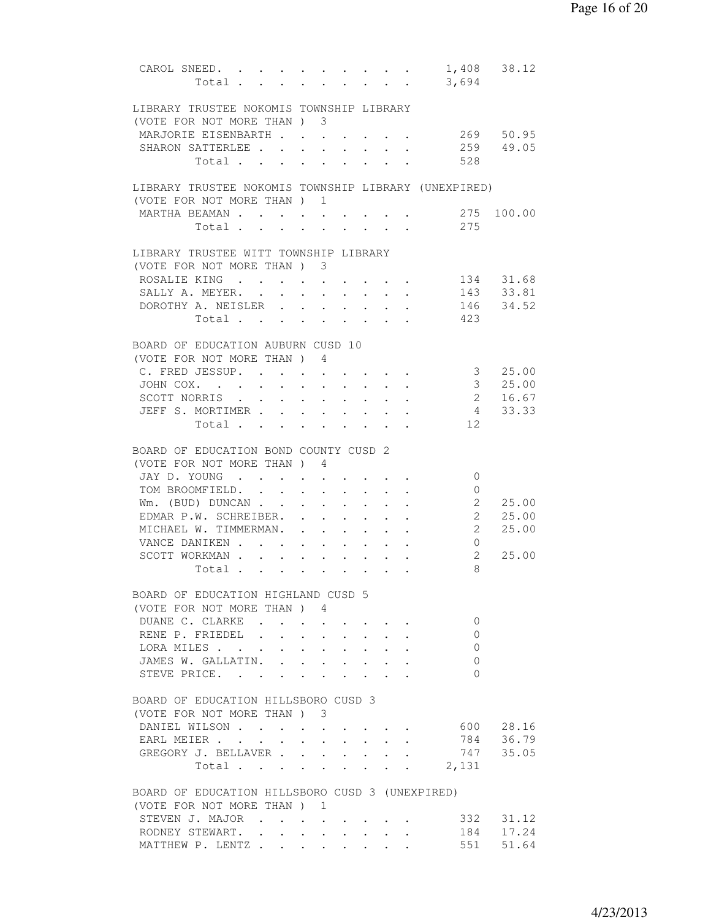| CAROL SNEED. 1,408 38.12                                            |                      |                                     |                                                                          |                                                                         |                                                                              |               |                |                                                         |
|---------------------------------------------------------------------|----------------------|-------------------------------------|--------------------------------------------------------------------------|-------------------------------------------------------------------------|------------------------------------------------------------------------------|---------------|----------------|---------------------------------------------------------|
| Total 3,694                                                         |                      |                                     |                                                                          |                                                                         |                                                                              |               |                |                                                         |
|                                                                     |                      |                                     |                                                                          |                                                                         |                                                                              |               |                |                                                         |
| LIBRARY TRUSTEE NOKOMIS TOWNSHIP LIBRARY                            |                      |                                     |                                                                          |                                                                         |                                                                              |               |                |                                                         |
| (VOTE FOR NOT MORE THAN) 3<br>MARJORIE EISENBARTH                   |                      |                                     |                                                                          |                                                                         |                                                                              |               |                | 269 50.95                                               |
| SHARON SATTERLEE                                                    |                      |                                     |                                                                          |                                                                         |                                                                              |               |                | 259 49.05                                               |
| Total                                                               | $\sim$               | $\sim$<br>$\mathbf{L} = \mathbf{L}$ |                                                                          | $\sim$ $\sim$<br>$\mathbf{L} = \mathbf{L} \mathbf{L}$                   | $\cdot$ $\cdot$<br>$\mathcal{L}^{\text{max}}$ and $\mathcal{L}^{\text{max}}$ |               | 528            |                                                         |
|                                                                     |                      |                                     |                                                                          |                                                                         |                                                                              |               |                |                                                         |
| LIBRARY TRUSTEE NOKOMIS TOWNSHIP LIBRARY (UNEXPIRED)                |                      |                                     |                                                                          |                                                                         |                                                                              |               |                |                                                         |
| (VOTE FOR NOT MORE THAN) 1                                          |                      |                                     |                                                                          |                                                                         |                                                                              |               |                |                                                         |
| MARTHA BEAMAN                                                       |                      |                                     |                                                                          |                                                                         |                                                                              |               |                | 275 100.00                                              |
| Total 275                                                           |                      |                                     |                                                                          |                                                                         |                                                                              |               |                |                                                         |
|                                                                     |                      |                                     |                                                                          |                                                                         |                                                                              |               |                |                                                         |
| LIBRARY TRUSTEE WITT TOWNSHIP LIBRARY<br>(VOTE FOR NOT MORE THAN) 3 |                      |                                     |                                                                          |                                                                         |                                                                              |               |                |                                                         |
| ROSALIE KING 134 31.68                                              |                      |                                     |                                                                          |                                                                         |                                                                              |               |                |                                                         |
| SALLY A. MEYER.                                                     |                      |                                     |                                                                          |                                                                         |                                                                              |               |                | 143 33.81                                               |
| DOROTHY A. NEISLER 146 34.52                                        |                      |                                     |                                                                          |                                                                         |                                                                              |               |                |                                                         |
| Total 423                                                           |                      |                                     |                                                                          |                                                                         |                                                                              |               |                |                                                         |
|                                                                     |                      |                                     |                                                                          |                                                                         |                                                                              |               |                |                                                         |
| BOARD OF EDUCATION AUBURN CUSD 10                                   |                      |                                     |                                                                          |                                                                         |                                                                              |               |                |                                                         |
| (VOTE FOR NOT MORE THAN) 4                                          |                      |                                     |                                                                          |                                                                         |                                                                              |               |                |                                                         |
| C. FRED JESSUP.                                                     |                      | $\sim$ $-$                          |                                                                          |                                                                         | $\mathbf{r}$ , and $\mathbf{r}$ , and $\mathbf{r}$                           |               |                | $\begin{array}{ccc} 3 & 25.00 \\ 3 & 25.00 \end{array}$ |
| JOHN COX.<br>$\ddot{\phantom{0}}$<br>$\ddot{\phantom{0}}$           | $\sim$               | $\sim$                              |                                                                          |                                                                         |                                                                              |               |                |                                                         |
| SCOTT NORRIS                                                        |                      |                                     |                                                                          |                                                                         |                                                                              |               | 2 16.67        |                                                         |
| JEFF S. MORTIMER 4 33.33                                            |                      |                                     |                                                                          |                                                                         |                                                                              |               |                |                                                         |
| Total $\cdot$                                                       |                      |                                     |                                                                          |                                                                         |                                                                              |               | 12             |                                                         |
| BOARD OF EDUCATION BOND COUNTY CUSD 2                               |                      |                                     |                                                                          |                                                                         |                                                                              |               |                |                                                         |
| (VOTE FOR NOT MORE THAN ) 4                                         |                      |                                     |                                                                          |                                                                         |                                                                              |               |                |                                                         |
| JAY D. YOUNG                                                        |                      |                                     |                                                                          |                                                                         |                                                                              |               | $\circ$        |                                                         |
| TOM BROOMFIELD.                                                     | $\ddot{\phantom{0}}$ | $\sim$                              |                                                                          | $\bullet$ .<br><br><br><br><br><br><br><br><br><br><br><br>             |                                                                              | $\sim$        | $\overline{0}$ |                                                         |
| Wm. (BUD) DUNCAN                                                    | $\sim$               |                                     | $\sim$                                                                   |                                                                         | $\sim$                                                                       | $\sim$        |                | 2 25.00                                                 |
| EDMAR P.W. SCHREIBER.                                               |                      |                                     | $\mathbf{r}$ , $\mathbf{r}$ , $\mathbf{r}$ , $\mathbf{r}$ , $\mathbf{r}$ |                                                                         |                                                                              |               | 2 25.00        |                                                         |
| MICHAEL W. TIMMERMAN.                                               |                      |                                     |                                                                          |                                                                         |                                                                              |               | $2^{\circ}$    | 25.00                                                   |
| VANCE DANIKEN                                                       |                      |                                     |                                                                          |                                                                         |                                                                              |               | $\overline{0}$ |                                                         |
| SCOTT WORKMAN                                                       |                      |                                     |                                                                          |                                                                         |                                                                              |               | $2^{\circ}$    | 25.00                                                   |
| Total                                                               |                      |                                     |                                                                          |                                                                         |                                                                              |               | 8              |                                                         |
| BOARD OF EDUCATION HIGHLAND CUSD 5                                  |                      |                                     |                                                                          |                                                                         |                                                                              |               |                |                                                         |
| (VOTE FOR NOT MORE THAN) 4                                          |                      |                                     |                                                                          |                                                                         |                                                                              |               |                |                                                         |
| DUANE C. CLARKE.                                                    |                      |                                     |                                                                          |                                                                         |                                                                              |               | $\mathbf{0}$   |                                                         |
| RENE P. FRIEDEL                                                     |                      |                                     |                                                                          |                                                                         |                                                                              |               | $\Omega$       |                                                         |
| LORA MILES                                                          |                      |                                     |                                                                          |                                                                         |                                                                              |               | $\mathbf{0}$   |                                                         |
| JAMES W. GALLATIN.                                                  |                      |                                     |                                                                          |                                                                         |                                                                              |               | 0              |                                                         |
| STEVE PRICE.                                                        |                      |                                     |                                                                          |                                                                         |                                                                              |               | $\Omega$       |                                                         |
|                                                                     |                      |                                     |                                                                          |                                                                         |                                                                              |               |                |                                                         |
| BOARD OF EDUCATION HILLSBORO CUSD 3                                 |                      |                                     |                                                                          |                                                                         |                                                                              |               |                |                                                         |
| (VOTE FOR NOT MORE THAN) 3<br>DANIEL WILSON                         |                      |                                     |                                                                          |                                                                         |                                                                              |               |                | 600 28.16                                               |
| EARL MEIER                                                          | $\ddot{\phantom{0}}$ | $\sim$<br>$\ddot{\phantom{0}}$      |                                                                          | $\cdot$ $\cdot$ $\cdot$ $\cdot$<br>$\mathbf{L} = \mathbf{L} \mathbf{L}$ | $\sim$                                                                       | $\sim$ $\sim$ |                | 784 36.79                                               |
| GREGORY J. BELLAVER                                                 |                      |                                     |                                                                          |                                                                         |                                                                              |               |                | 747 35.05                                               |
| Total.                                                              |                      |                                     |                                                                          |                                                                         |                                                                              |               | 2,131          |                                                         |
|                                                                     |                      |                                     |                                                                          |                                                                         |                                                                              |               |                |                                                         |
| BOARD OF EDUCATION HILLSBORO CUSD 3 (UNEXPIRED)                     |                      |                                     |                                                                          |                                                                         |                                                                              |               |                |                                                         |
| (VOTE FOR NOT MORE THAN) 1                                          |                      |                                     |                                                                          |                                                                         |                                                                              |               |                |                                                         |
| STEVEN J. MAJOR                                                     |                      |                                     |                                                                          |                                                                         |                                                                              |               |                | 332 31.12                                               |
| RODNEY STEWART. .                                                   | $\sim$ $\sim$ $\sim$ |                                     | $\mathbf{r}$ , and $\mathbf{r}$ , and $\mathbf{r}$ , and $\mathbf{r}$    |                                                                         |                                                                              |               | 184            | 17.24                                                   |
| MATTHEW P. LENTZ                                                    |                      |                                     |                                                                          |                                                                         |                                                                              |               | 551            | 51.64                                                   |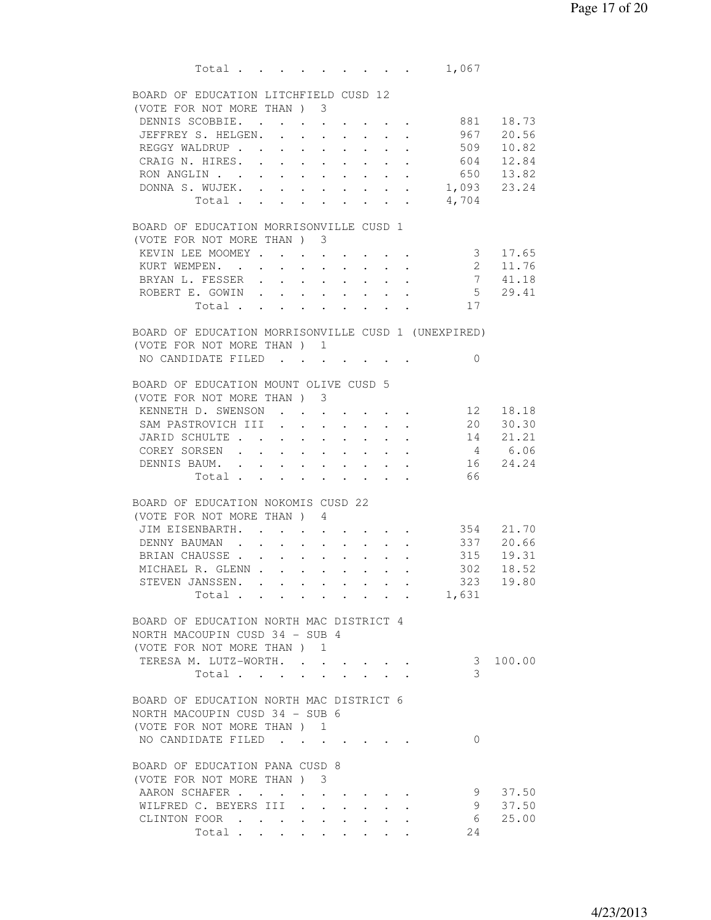Total . . . . . . . . . 1,067 BOARD OF EDUCATION LITCHFIELD CUSD 12 (VOTE FOR NOT MORE THAN ) 3 DENNIS SCOBBIE. . . . . . . . . 881 18.73 JEFFREY S. HELGEN. . . . . . . . 967 20.56 REGGY WALDRUP . . . . . . . . . 509 10.82 CRAIG N. HIRES. . . . . . . . . . . 604 12.84<br>
RON ANGLIN . . . . . . . . . . . . . 650 13.82<br>
DONNA S. WUJEK. . . . . . . . . . 1,093 23.24<br>
Total . . . . . . . . . . 4,704 RON ANGLIN . . . . . . . . . . . DONNA S. WUJEK. . . . . . . . . Total . . . . . . . . . BOARD OF EDUCATION MORRISONVILLE CUSD 1 (VOTE FOR NOT MORE THAN ) 3 KEVIN LEE MOOMEY . . . . . . . . 3 17.65 KURT WEMPEN. . . . . . . . . . 2 11.76 BRYAN L. FESSER . . . . . . . . 7 41.18 ROBERT E. GOWIN . . . . . . . . . 5 29.41 Total . . . . . . . . . 17 BOARD OF EDUCATION MORRISONVILLE CUSD 1 (UNEXPIRED) (VOTE FOR NOT MORE THAN ) 1 NO CANDIDATE FILED . . . . . . . 0 BOARD OF EDUCATION MOUNT OLIVE CUSD 5 (VOTE FOR NOT MORE THAN ) 3 KENNETH D. SWENSON . . . . . . . 12 18.18 SAM PASTROVICH III . . . . . . . 20 30.30 JARID SCHULTE . . . . . . . . . . 14 21.21 COREY SORSEN . . . . . . . . . . 4 6.06 DENNIS BAUM. . . . . . . . . . . 16 24.24 Total . . . . . . . . . 66 BOARD OF EDUCATION NOKOMIS CUSD 22 (VOTE FOR NOT MORE THAN ) 4 JIM EISENBARTH. . . . . . . . . 354 21.70 DENNY BAUMAN . . . . . . . . . . 337 20.66 BRIAN CHAUSSE . . . . . . . . . 315 19.31 MICHAEL R. GLENN . . . . . . . . . 302 18.52 STEVEN JANSSEN. . . . . . . . . 323 19.80<br>Total . . . . . . . . . 1,631 Total . . . . . . . . . BOARD OF EDUCATION NORTH MAC DISTRICT 4 NORTH MACOUPIN CUSD 34 - SUB 4 (VOTE FOR NOT MORE THAN ) 1 TERESA M. LUTZ-WORTH. . . . . . . 3 100.00 Total . . . . . . . . . 3 BOARD OF EDUCATION NORTH MAC DISTRICT 6 NORTH MACOUPIN CUSD 34 - SUB 6 (VOTE FOR NOT MORE THAN ) 1 NO CANDIDATE FILED . . . . . . . 0 BOARD OF EDUCATION PANA CUSD 8 (VOTE FOR NOT MORE THAN ) 3 AARON SCHAFER . . . . . . . . . 9 37.50 WILFRED C. BEYERS III . . . . . . 9 37.50 CLINTON FOOR . . . . . . . . . . 6 25.00 Total . . . . . . . . . 24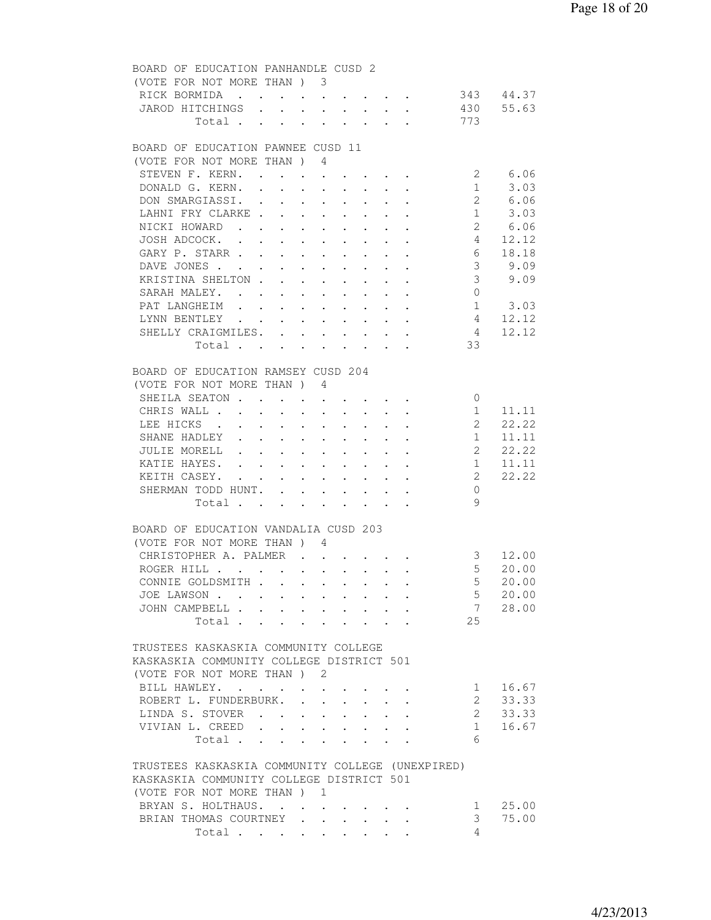| BOARD OF EDUCATION PANHANDLE CUSD 2                         |                                                                                                                      |        |                                                           |        |        |                 |                 |
|-------------------------------------------------------------|----------------------------------------------------------------------------------------------------------------------|--------|-----------------------------------------------------------|--------|--------|-----------------|-----------------|
| (VOTE FOR NOT MORE THAN) 3                                  |                                                                                                                      |        |                                                           |        |        |                 |                 |
| RICK BORMIDA 343 44.37                                      |                                                                                                                      |        |                                                           |        |        |                 |                 |
| JAROD HITCHINGS 430 55.63                                   |                                                                                                                      |        |                                                           |        |        |                 |                 |
| Total 773                                                   |                                                                                                                      |        |                                                           |        |        |                 |                 |
|                                                             |                                                                                                                      |        |                                                           |        |        |                 |                 |
| BOARD OF EDUCATION PAWNEE CUSD 11                           |                                                                                                                      |        |                                                           |        |        |                 |                 |
| (VOTE FOR NOT MORE THAN ) 4                                 |                                                                                                                      |        |                                                           |        |        |                 |                 |
| STEVEN F. KERN.                                             |                                                                                                                      |        |                                                           |        |        |                 | 2 6.06          |
| DONALD G. KERN.                                             |                                                                                                                      | $\sim$ | $\mathbf{L}^{\text{max}}$ , and $\mathbf{L}^{\text{max}}$ | $\sim$ | $\sim$ |                 | $1 \t3.03$      |
|                                                             |                                                                                                                      |        |                                                           |        |        |                 | 2 6.06          |
| LAHNI FRY CLARKE                                            |                                                                                                                      |        |                                                           |        |        |                 | $1 \t3.03$      |
| NICKI HOWARD 2 6.06                                         |                                                                                                                      |        |                                                           |        |        |                 |                 |
|                                                             |                                                                                                                      |        |                                                           |        |        |                 |                 |
| JOSH ADCOCK. 4 12.12                                        |                                                                                                                      |        |                                                           |        |        |                 |                 |
| GARY P. STARR 6 18.18                                       |                                                                                                                      |        |                                                           |        |        |                 |                 |
| DAVE JONES                                                  |                                                                                                                      |        |                                                           |        |        |                 | $3 \t 9.09$     |
| KRISTINA SHELTON                                            |                                                                                                                      |        |                                                           |        |        | 3 <sup>7</sup>  | 9.09            |
| SARAH MALEY.                                                |                                                                                                                      |        |                                                           |        |        | $\overline{0}$  |                 |
| PAT LANGHEIM<br>PAT LANGHEIM 1 3.03<br>LYNN BENTLEY 4 12.12 |                                                                                                                      |        |                                                           |        |        |                 | $1 \t3.03$      |
|                                                             |                                                                                                                      |        |                                                           |        |        |                 |                 |
| SHELLY CRAIGMILES.                                          |                                                                                                                      |        |                                                           |        |        | $4\overline{4}$ | 12.12           |
| Total                                                       |                                                                                                                      |        |                                                           |        |        | 33              |                 |
|                                                             |                                                                                                                      |        |                                                           |        |        |                 |                 |
| BOARD OF EDUCATION RAMSEY CUSD 204                          |                                                                                                                      |        |                                                           |        |        |                 |                 |
| (VOTE FOR NOT MORE THAN) 4                                  |                                                                                                                      |        |                                                           |        |        |                 |                 |
| SHEILA SEATON                                               |                                                                                                                      |        |                                                           |        |        | $\overline{0}$  |                 |
| CHRIS WALL                                                  | $\mathbf{r} = \mathbf{r} + \mathbf{r} + \mathbf{r} + \mathbf{r} + \mathbf{r} + \mathbf{r} + \mathbf{r} + \mathbf{r}$ |        |                                                           |        |        | 1               | 11.11           |
| LEE HICKS                                                   |                                                                                                                      |        |                                                           |        |        | $\overline{2}$  | 22.22           |
| SHANE HADLEY                                                |                                                                                                                      |        |                                                           |        |        | 1               | 11.11           |
| JULIE MORELL 2 22.22                                        |                                                                                                                      |        |                                                           |        |        |                 |                 |
|                                                             |                                                                                                                      |        |                                                           |        |        |                 | 11.11           |
| KATIE HAYES. 1                                              |                                                                                                                      |        |                                                           |        |        |                 |                 |
| KEITH CASEY.                                                |                                                                                                                      |        |                                                           |        |        | $\overline{2}$  | 22.22           |
| SHERMAN TODD HUNT.                                          |                                                                                                                      |        |                                                           |        |        | $\Omega$        |                 |
| Total $\cdot$                                               |                                                                                                                      |        |                                                           |        |        | 9               |                 |
|                                                             |                                                                                                                      |        |                                                           |        |        |                 |                 |
| BOARD OF EDUCATION VANDALIA CUSD 203                        |                                                                                                                      |        |                                                           |        |        |                 |                 |
| (VOTE FOR NOT MORE THAN) 4                                  |                                                                                                                      |        |                                                           |        |        |                 |                 |
| CHRISTOPHER A. PALMER 3 12.00                               |                                                                                                                      |        |                                                           |        |        |                 |                 |
| ROGER HILL                                                  |                                                                                                                      |        |                                                           |        |        |                 | 5 20.00         |
| CONNIE GOLDSMITH                                            |                                                                                                                      |        |                                                           |        |        |                 | 5 20.00         |
| JOE LAWSON                                                  |                                                                                                                      |        |                                                           |        |        | $5 -$           | 20.00           |
| JOHN CAMPBELL                                               |                                                                                                                      |        |                                                           |        |        | $7\overline{ }$ | 28.00           |
| Total                                                       |                                                                                                                      |        |                                                           |        |        | 25              |                 |
|                                                             |                                                                                                                      |        |                                                           |        |        |                 |                 |
| TRUSTEES KASKASKIA COMMUNITY COLLEGE                        |                                                                                                                      |        |                                                           |        |        |                 |                 |
| KASKASKIA COMMUNITY COLLEGE DISTRICT 501                    |                                                                                                                      |        |                                                           |        |        |                 |                 |
| (VOTE FOR NOT MORE THAN) 2                                  |                                                                                                                      |        |                                                           |        |        |                 |                 |
| BILL HAWLEY.                                                |                                                                                                                      |        |                                                           |        |        | $1 \quad$       | 16.67           |
| ROBERT L. FUNDERBURK.                                       |                                                                                                                      |        |                                                           |        |        |                 | 2 33.33         |
| LINDA S. STOVER                                             |                                                                                                                      |        |                                                           |        |        | $2^{\circ}$     | 33.33           |
|                                                             |                                                                                                                      |        |                                                           |        |        | 1               | 16.67           |
| VIVIAN L. CREED                                             |                                                                                                                      |        |                                                           |        |        | 6               |                 |
| Total                                                       |                                                                                                                      |        |                                                           |        |        |                 |                 |
|                                                             |                                                                                                                      |        |                                                           |        |        |                 |                 |
| TRUSTEES KASKASKIA COMMUNITY COLLEGE (UNEXPIRED)            |                                                                                                                      |        |                                                           |        |        |                 |                 |
| KASKASKIA COMMUNITY COLLEGE DISTRICT 501                    |                                                                                                                      |        |                                                           |        |        |                 |                 |
| (VOTE FOR NOT MORE THAN) 1                                  |                                                                                                                      |        |                                                           |        |        |                 |                 |
| BRYAN S. HOLTHAUS.                                          |                                                                                                                      |        |                                                           |        |        |                 | $1 \quad 25.00$ |
| BRIAN THOMAS COURTNEY                                       |                                                                                                                      |        |                                                           |        |        | 3 <sup>7</sup>  | 75.00           |
| Total                                                       |                                                                                                                      |        |                                                           |        |        | $\overline{4}$  |                 |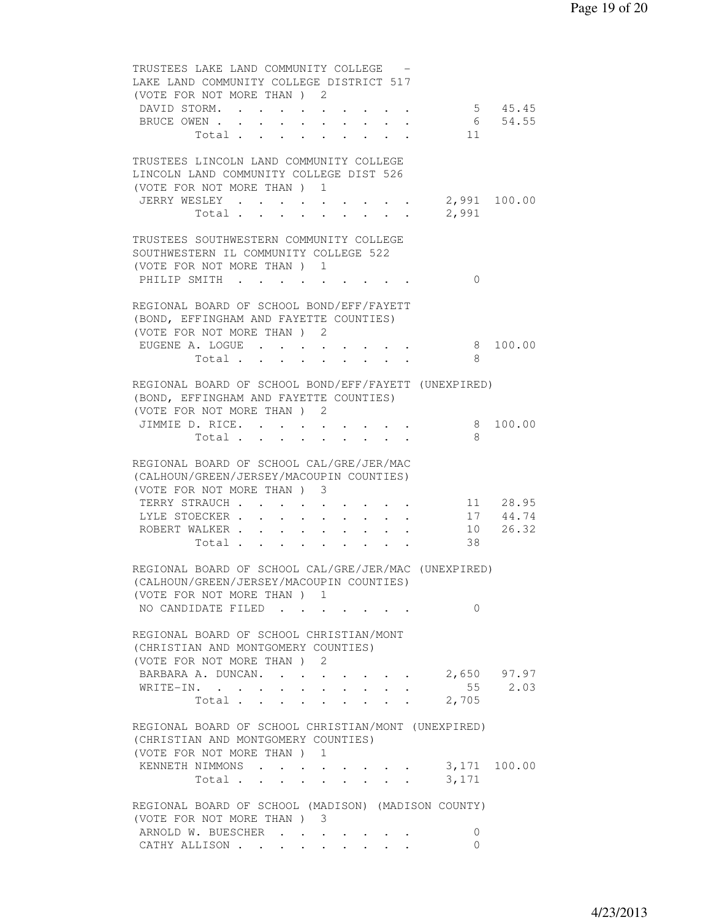| TRUSTEES LAKE LAND COMMUNITY COLLEGE -<br>LAKE LAND COMMUNITY COLLEGE DISTRICT 517                                             |                |                         |                      |                                                           |                                     |        |                      |                   |                              |
|--------------------------------------------------------------------------------------------------------------------------------|----------------|-------------------------|----------------------|-----------------------------------------------------------|-------------------------------------|--------|----------------------|-------------------|------------------------------|
| (VOTE FOR NOT MORE THAN) 2                                                                                                     |                |                         |                      |                                                           |                                     |        |                      |                   |                              |
| DAVID STORM.                                                                                                                   |                |                         |                      |                                                           |                                     |        |                      | $5 \t 45.45$      |                              |
| BRUCE OWEN 6 54.55                                                                                                             |                |                         |                      |                                                           |                                     |        |                      |                   |                              |
|                                                                                                                                |                |                         |                      |                                                           |                                     |        |                      | Total $\qquad$ 11 |                              |
| TRUSTEES LINCOLN LAND COMMUNITY COLLEGE                                                                                        |                |                         |                      |                                                           |                                     |        |                      |                   |                              |
| LINCOLN LAND COMMUNITY COLLEGE DIST 526                                                                                        |                |                         |                      |                                                           |                                     |        |                      |                   |                              |
| (VOTE FOR NOT MORE THAN) 1                                                                                                     |                |                         |                      |                                                           |                                     |        |                      |                   |                              |
| JERRY WESLEY 2,991 100.00                                                                                                      |                |                         |                      |                                                           |                                     |        |                      |                   |                              |
|                                                                                                                                | Total          |                         |                      |                                                           |                                     |        |                      | 2,991             |                              |
| TRUSTEES SOUTHWESTERN COMMUNITY COLLEGE<br>SOUTHWESTERN IL COMMUNITY COLLEGE 522                                               |                |                         |                      |                                                           |                                     |        |                      |                   |                              |
| (VOTE FOR NOT MORE THAN) 1                                                                                                     |                |                         |                      |                                                           |                                     |        |                      |                   |                              |
| PHILIP SMITH                                                                                                                   |                |                         |                      |                                                           |                                     |        |                      | $\mathbf{0}$      |                              |
| REGIONAL BOARD OF SCHOOL BOND/EFF/FAYETT<br>(BOND, EFFINGHAM AND FAYETTE COUNTIES)                                             |                |                         |                      |                                                           |                                     |        |                      |                   |                              |
| (VOTE FOR NOT MORE THAN) 2                                                                                                     |                |                         |                      |                                                           |                                     |        |                      |                   |                              |
| EUGENE A. LOGUE                                                                                                                |                |                         |                      |                                                           |                                     |        |                      | 8 <sup>8</sup>    | 100.00                       |
|                                                                                                                                |                |                         |                      |                                                           |                                     |        |                      | 8                 |                              |
|                                                                                                                                |                |                         |                      |                                                           |                                     |        |                      |                   |                              |
| REGIONAL BOARD OF SCHOOL BOND/EFF/FAYETT (UNEXPIRED)<br>(BOND, EFFINGHAM AND FAYETTE COUNTIES)                                 |                |                         |                      |                                                           |                                     |        |                      |                   |                              |
| (VOTE FOR NOT MORE THAN) 2                                                                                                     |                |                         |                      |                                                           |                                     |        |                      |                   |                              |
| JIMMIE D. RICE.                                                                                                                |                |                         |                      |                                                           |                                     |        |                      |                   | 8 100.00                     |
|                                                                                                                                | Total $\cdots$ |                         |                      |                                                           |                                     |        |                      | 8                 |                              |
|                                                                                                                                |                |                         |                      |                                                           |                                     |        |                      |                   |                              |
| REGIONAL BOARD OF SCHOOL CAL/GRE/JER/MAC                                                                                       |                |                         |                      |                                                           |                                     |        |                      |                   |                              |
| (CALHOUN/GREEN/JERSEY/MACOUPIN COUNTIES)                                                                                       |                |                         |                      |                                                           |                                     |        |                      |                   |                              |
| (VOTE FOR NOT MORE THAN) 3                                                                                                     |                |                         |                      |                                                           |                                     |        |                      |                   |                              |
| TERRY STRAUCH                                                                                                                  |                |                         |                      |                                                           |                                     |        |                      |                   | 11 28.95                     |
| LYLE STOECKER<br>ROBERT WALKER                                                                                                 |                |                         | $\sim$ $-$           |                                                           |                                     |        |                      |                   | $17$ $44.74$<br>$10$ $26.32$ |
|                                                                                                                                | Total          |                         |                      | $\mathbf{r}$ , $\mathbf{r}$ , $\mathbf{r}$ , $\mathbf{r}$ | the contract of the contract of the |        |                      | 38                |                              |
|                                                                                                                                |                |                         |                      |                                                           |                                     |        |                      |                   |                              |
| REGIONAL BOARD OF SCHOOL CAL/GRE/JER/MAC (UNEXPIRED)<br>(CALHOUN/GREEN/JERSEY/MACOUPIN COUNTIES)<br>(VOTE FOR NOT MORE THAN) 1 |                |                         |                      |                                                           |                                     |        |                      |                   |                              |
| NO CANDIDATE FILED                                                                                                             |                |                         |                      |                                                           |                                     |        |                      | $\Omega$          |                              |
|                                                                                                                                |                |                         |                      |                                                           |                                     |        |                      |                   |                              |
| REGIONAL BOARD OF SCHOOL CHRISTIAN/MONT<br>(CHRISTIAN AND MONTGOMERY COUNTIES)<br>(VOTE FOR NOT MORE THAN )                    |                |                         | 2                    |                                                           |                                     |        |                      |                   |                              |
| BARBARA A. DUNCAN.                                                                                                             |                |                         |                      |                                                           |                                     |        |                      |                   | 2,650 97.97                  |
| WRITE-IN.                                                                                                                      |                |                         | $\ddot{\phantom{0}}$ |                                                           | $\cdot$ $\cdot$ $\cdot$ $\cdot$     |        |                      |                   | 55 2.03                      |
|                                                                                                                                | Total $\cdots$ |                         |                      |                                                           |                                     |        |                      | 2,705             |                              |
|                                                                                                                                |                |                         |                      |                                                           |                                     |        |                      |                   |                              |
| REGIONAL BOARD OF SCHOOL CHRISTIAN/MONT (UNEXPIRED)<br>(CHRISTIAN AND MONTGOMERY COUNTIES)                                     |                |                         |                      |                                                           |                                     |        |                      |                   |                              |
| (VOTE FOR NOT MORE THAN) 1                                                                                                     |                |                         |                      |                                                           |                                     |        |                      |                   |                              |
| KENNETH NIMMONS                                                                                                                |                |                         | $\bullet$ .          |                                                           | the contract of the contract of the |        |                      |                   | 3,171 100.00                 |
|                                                                                                                                | Total .        | $\cdot$ $\cdot$ $\cdot$ |                      | $\ddot{\phantom{0}}$                                      | $\ddot{\phantom{0}}$                | $\sim$ | $\ddot{\phantom{0}}$ | 3,171             |                              |
|                                                                                                                                |                |                         |                      |                                                           |                                     |        |                      |                   |                              |
| REGIONAL BOARD OF SCHOOL (MADISON) (MADISON COUNTY)                                                                            |                |                         |                      |                                                           |                                     |        |                      |                   |                              |
| (VOTE FOR NOT MORE THAN ) 3                                                                                                    |                |                         |                      |                                                           |                                     |        |                      |                   |                              |
| ARNOLD W. BUESCHER                                                                                                             |                |                         |                      |                                                           |                                     |        |                      | 0                 |                              |
| CATHY ALLISON                                                                                                                  |                |                         |                      |                                                           |                                     |        |                      | 0                 |                              |